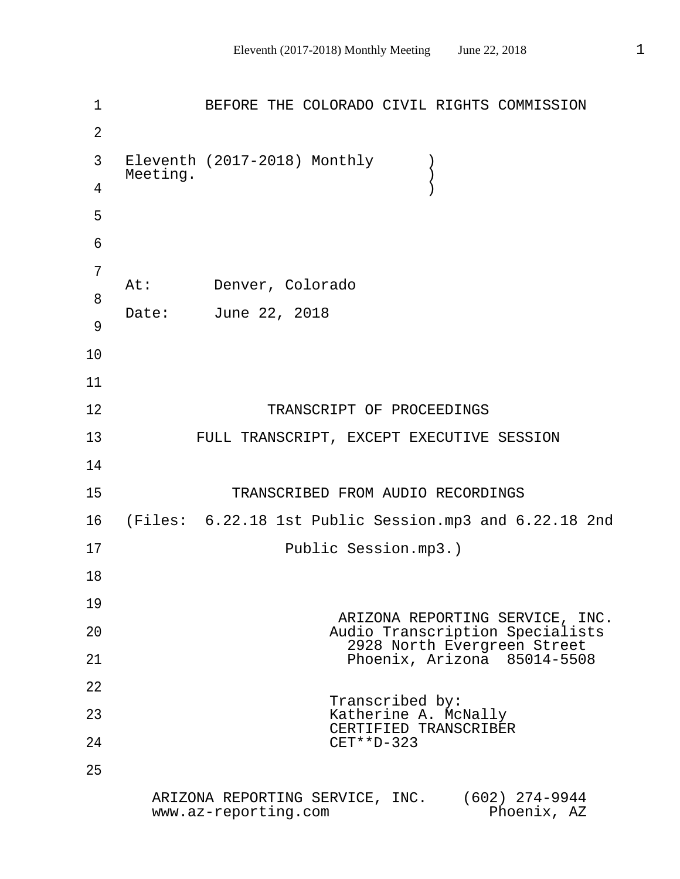1 BEFORE THE COLORADO CIVIL RIGHTS COMMISSION 2 3 Eleventh (2017-2018) Monthly ) Meeting.  $)$  4 ) 5 6 7 At: Denver, Colorado 8 Date: June 22, 2018 9 10 11 12 TRANSCRIPT OF PROCEEDINGS 13 FULL TRANSCRIPT, EXCEPT EXECUTIVE SESSION 14 15 TRANSCRIBED FROM AUDIO RECORDINGS 16 (Files: 6.22.18 1st Public Session.mp3 and 6.22.18 2nd 17 Public Session.mp3.) 18 19 ARIZONA REPORTING SERVICE, INC. 20 Audio Transcription Specialists 2928 North Evergreen Street 21 Phoenix, Arizona 85014-5508 22 Transcribed by: 23 Katherine A. McNally CERTIFIED TRANSCRIBER 24 CET\*\*D-323 25 ARIZONA REPORTING SERVICE, INC. (602) 274-9944 www.az-reporting.com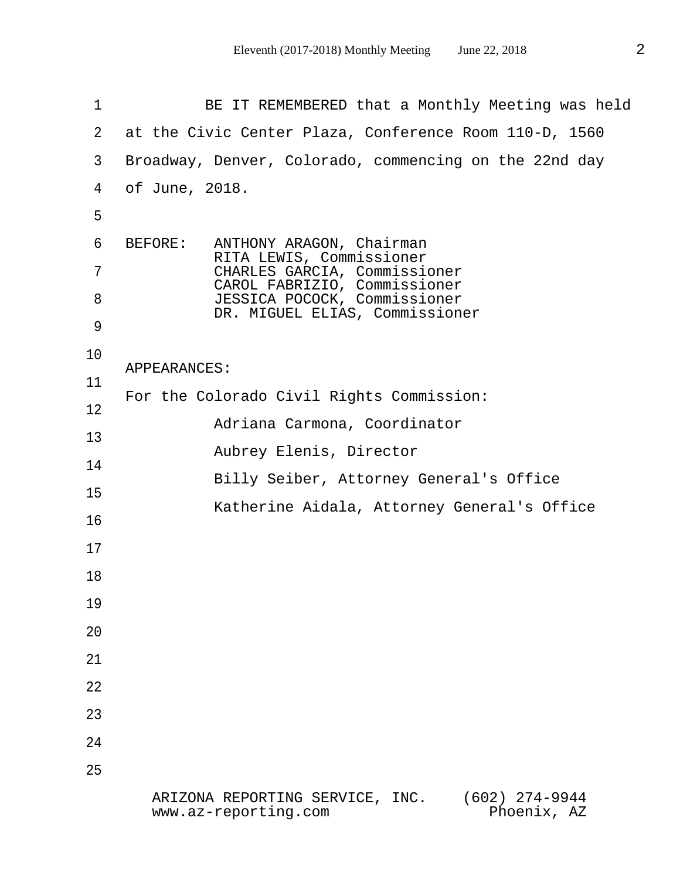1 BE IT REMEMBERED that a Monthly Meeting was held 2 at the Civic Center Plaza, Conference Room 110-D, 1560 3 Broadway, Denver, Colorado, commencing on the 22nd day 4 of June, 2018. 5 6 BEFORE: ANTHONY ARAGON, Chairman RITA LEWIS, Commissioner 7 CHARLES GARCIA, Commissioner CAROL FABRIZIO, Commissioner 8 JESSICA POCOCK, Commissioner DR. MIGUEL ELIAS, Commissioner 9 10 APPEARANCES: 11 For the Colorado Civil Rights Commission: 12 Adriana Carmona, Coordinator 13 Aubrey Elenis, Director 14 Billy Seiber, Attorney General's Office 15 Katherine Aidala, Attorney General's Office 16 17 18 19 20 21 22 23 24 25 ARIZONA REPORTING SERVICE, INC. (602) 274-9944 www.az-reporting.com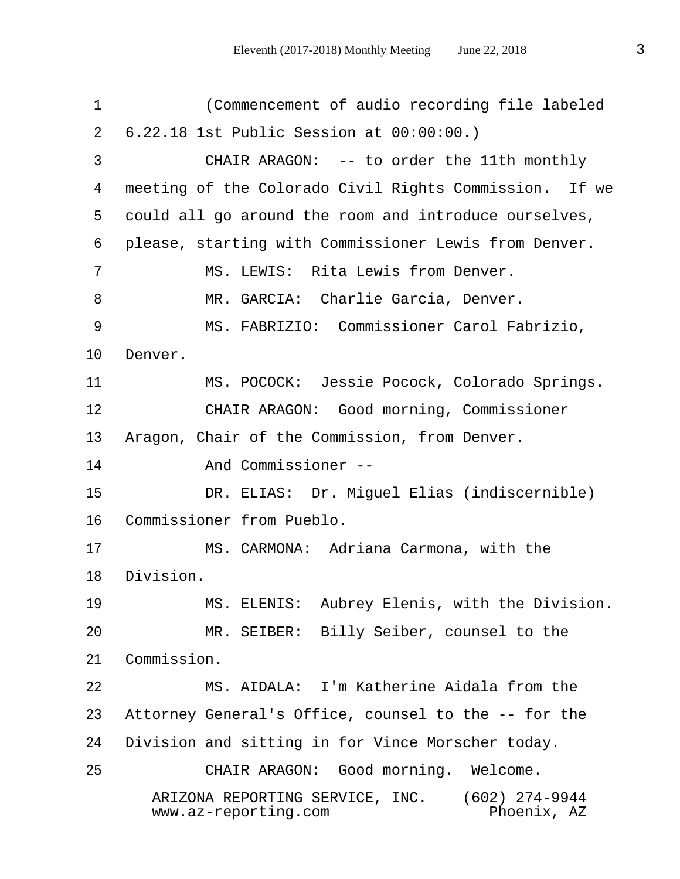1 (Commencement of audio recording file labeled 2 6.22.18 1st Public Session at 00:00:00.) 3 CHAIR ARAGON: -- to order the 11th monthly 4 meeting of the Colorado Civil Rights Commission. If we 5 could all go around the room and introduce ourselves, 6 please, starting with Commissioner Lewis from Denver. 7 MS. LEWIS: Rita Lewis from Denver. 8 MR. GARCIA: Charlie Garcia, Denver. 9 MS. FABRIZIO: Commissioner Carol Fabrizio, 10 Denver. 11 MS. POCOCK: Jessie Pocock, Colorado Springs. 12 CHAIR ARAGON: Good morning, Commissioner 13 Aragon, Chair of the Commission, from Denver. 14 And Commissioner -- 15 DR. ELIAS: Dr. Miguel Elias (indiscernible) 16 Commissioner from Pueblo. 17 MS. CARMONA: Adriana Carmona, with the 18 Division. 19 MS. ELENIS: Aubrey Elenis, with the Division. 20 MR. SEIBER: Billy Seiber, counsel to the 21 Commission. 22 MS. AIDALA: I'm Katherine Aidala from the 23 Attorney General's Office, counsel to the -- for the 24 Division and sitting in for Vince Morscher today. 25 CHAIR ARAGON: Good morning. Welcome. ARIZONA REPORTING SERVICE, INC. (602) 274-9944  $www.az-reporting.com$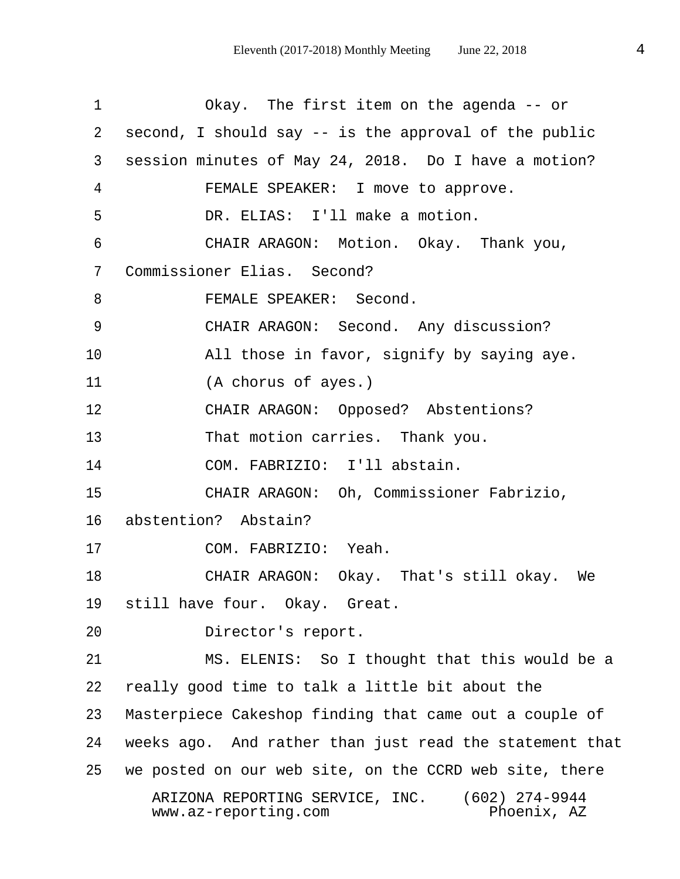| $\mathbf 1$  | Okay. The first item on the agenda -- or                                                   |
|--------------|--------------------------------------------------------------------------------------------|
| $2^{\circ}$  | second, I should say -- is the approval of the public                                      |
| $\mathsf{3}$ | session minutes of May 24, 2018. Do I have a motion?                                       |
| 4            | FEMALE SPEAKER: I move to approve.                                                         |
| 5            | DR. ELIAS: I'll make a motion.                                                             |
| 6            | CHAIR ARAGON: Motion. Okay. Thank you,                                                     |
| 7            | Commissioner Elias. Second?                                                                |
| 8            | FEMALE SPEAKER: Second.                                                                    |
| 9            | CHAIR ARAGON: Second. Any discussion?                                                      |
| 10           | All those in favor, signify by saying aye.                                                 |
| 11           | (A chorus of ayes.)                                                                        |
| 12           | CHAIR ARAGON: Opposed? Abstentions?                                                        |
| 13           | That motion carries. Thank you.                                                            |
| 14           | COM. FABRIZIO: I'll abstain.                                                               |
| 15           | CHAIR ARAGON: Oh, Commissioner Fabrizio,                                                   |
| 16           | abstention? Abstain?                                                                       |
| 17           | COM. FABRIZIO: Yeah.                                                                       |
| 18           | CHAIR ARAGON: Okay. That's still okay. We                                                  |
| 19           | still have four. Okay. Great.                                                              |
| 20           | Director's report.                                                                         |
| 21           | MS. ELENIS: So I thought that this would be a                                              |
| 22           | really good time to talk a little bit about the                                            |
| 23           | Masterpiece Cakeshop finding that came out a couple of                                     |
| 24           | weeks ago. And rather than just read the statement that                                    |
| 25           | we posted on our web site, on the CCRD web site, there                                     |
|              | $(602)$ 274-9944<br>ARIZONA REPORTING SERVICE, INC.<br>www.az-reporting.com<br>Phoenix, AZ |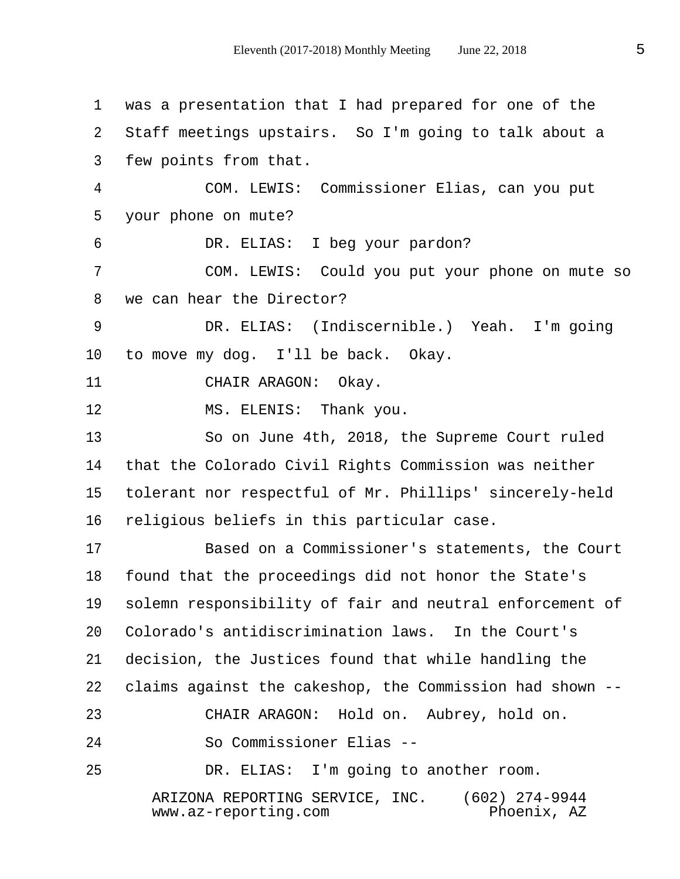1 was a presentation that I had prepared for one of the 2 Staff meetings upstairs. So I'm going to talk about a 3 few points from that. 4 COM. LEWIS: Commissioner Elias, can you put 5 your phone on mute? 6 DR. ELIAS: I beg your pardon? 7 COM. LEWIS: Could you put your phone on mute so 8 we can hear the Director? 9 DR. ELIAS: (Indiscernible.) Yeah. I'm going 10 to move my dog. I'll be back. Okay. 11 CHAIR ARAGON: Okay. 12 MS. ELENIS: Thank you. 13 So on June 4th, 2018, the Supreme Court ruled 14 that the Colorado Civil Rights Commission was neither 15 tolerant nor respectful of Mr. Phillips' sincerely-held 16 religious beliefs in this particular case. 17 Based on a Commissioner's statements, the Court 18 found that the proceedings did not honor the State's 19 solemn responsibility of fair and neutral enforcement of 20 Colorado's antidiscrimination laws. In the Court's 21 decision, the Justices found that while handling the 22 claims against the cakeshop, the Commission had shown -- 23 CHAIR ARAGON: Hold on. Aubrey, hold on. 24 So Commissioner Elias -- 25 DR. ELIAS: I'm going to another room. ARIZONA REPORTING SERVICE, INC. (602) 274-9944  $www.az-reporting.com$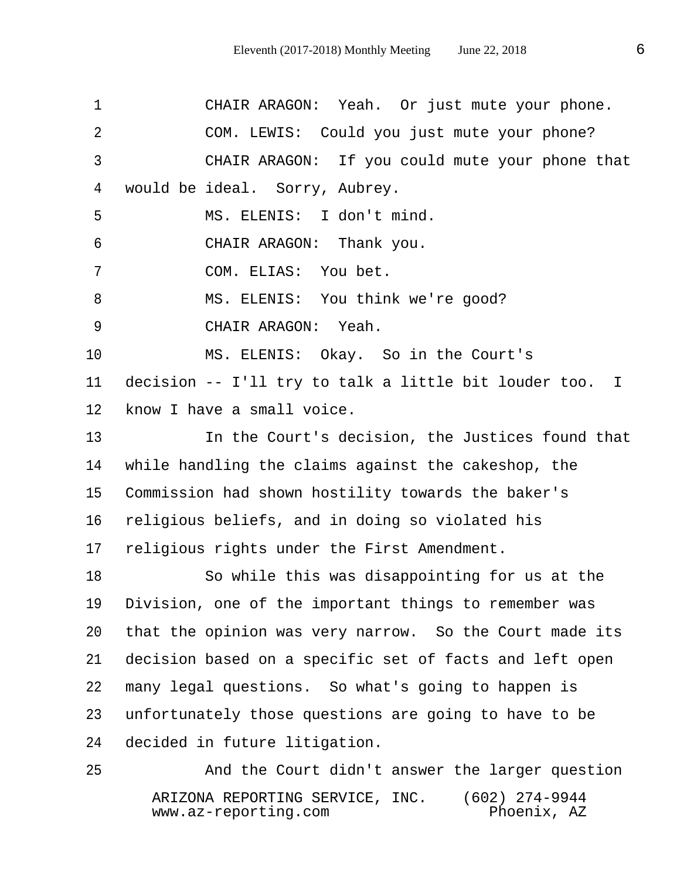1 CHAIR ARAGON: Yeah. Or just mute your phone. 2 COM. LEWIS: Could you just mute your phone? 3 CHAIR ARAGON: If you could mute your phone that 4 would be ideal. Sorry, Aubrey. 5 MS. ELENIS: I don't mind. 6 CHAIR ARAGON: Thank you. 7 COM. ELIAS: You bet. 8 MS. ELENIS: You think we're good? 9 CHAIR ARAGON: Yeah. 10 MS. ELENIS: Okay. So in the Court's 11 decision -- I'll try to talk a little bit louder too. I 12 know I have a small voice. 13 In the Court's decision, the Justices found that 14 while handling the claims against the cakeshop, the 15 Commission had shown hostility towards the baker's 16 religious beliefs, and in doing so violated his 17 religious rights under the First Amendment. 18 So while this was disappointing for us at the 19 Division, one of the important things to remember was 20 that the opinion was very narrow. So the Court made its 21 decision based on a specific set of facts and left open 22 many legal questions. So what's going to happen is 23 unfortunately those questions are going to have to be 24 decided in future litigation. 25 And the Court didn't answer the larger question

 ARIZONA REPORTING SERVICE, INC. (602) 274-9944  $www.az-reporting.com$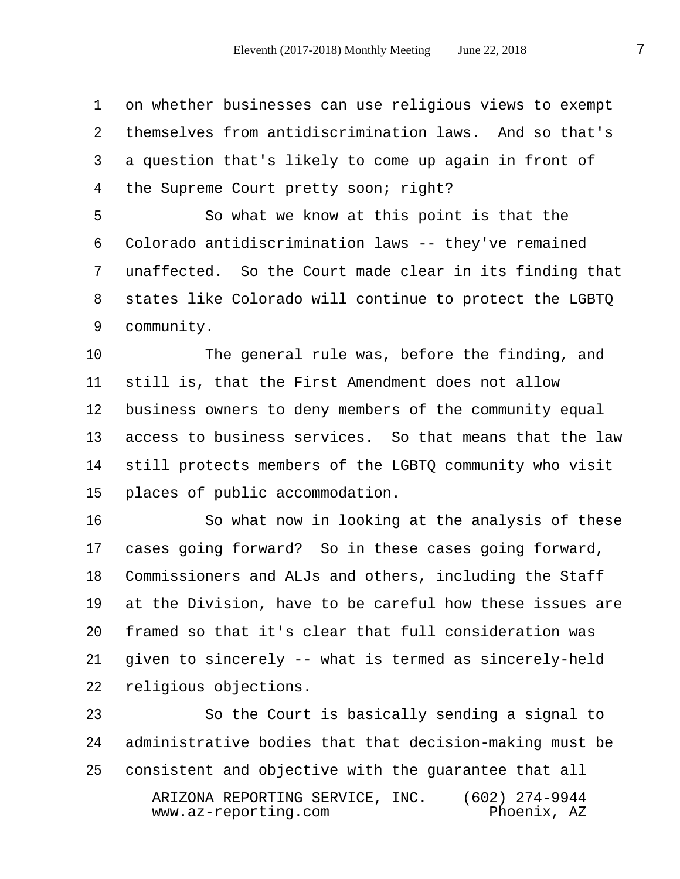1 on whether businesses can use religious views to exempt 2 themselves from antidiscrimination laws. And so that's 3 a question that's likely to come up again in front of 4 the Supreme Court pretty soon; right?

 5 So what we know at this point is that the 6 Colorado antidiscrimination laws -- they've remained 7 unaffected. So the Court made clear in its finding that 8 states like Colorado will continue to protect the LGBTQ 9 community.

10 The general rule was, before the finding, and 11 still is, that the First Amendment does not allow 12 business owners to deny members of the community equal 13 access to business services. So that means that the law 14 still protects members of the LGBTQ community who visit 15 places of public accommodation.

16 So what now in looking at the analysis of these 17 cases going forward? So in these cases going forward, 18 Commissioners and ALJs and others, including the Staff 19 at the Division, have to be careful how these issues are 20 framed so that it's clear that full consideration was 21 given to sincerely -- what is termed as sincerely-held 22 religious objections.

23 So the Court is basically sending a signal to 24 administrative bodies that that decision-making must be 25 consistent and objective with the guarantee that all ARIZONA REPORTING SERVICE, INC. (602) 274-9944  $www.az-reporting.com$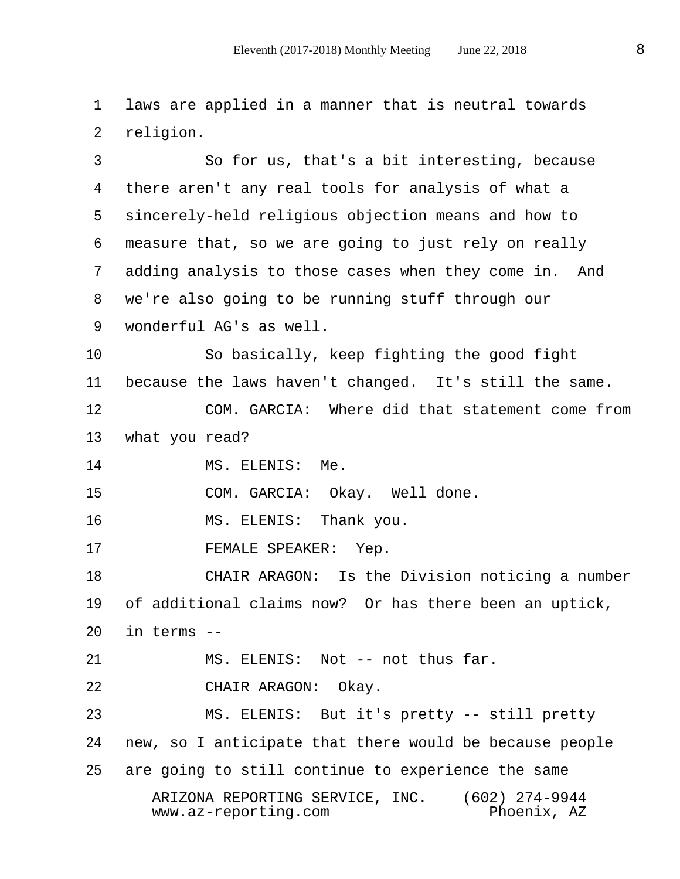1 laws are applied in a manner that is neutral towards 2 religion.

 3 So for us, that's a bit interesting, because 4 there aren't any real tools for analysis of what a 5 sincerely-held religious objection means and how to 6 measure that, so we are going to just rely on really 7 adding analysis to those cases when they come in. And 8 we're also going to be running stuff through our 9 wonderful AG's as well.

10 So basically, keep fighting the good fight 11 because the laws haven't changed. It's still the same.

12 COM. GARCIA: Where did that statement come from 13 what you read?

14 MS. ELENIS: Me.

15 COM. GARCIA: Okay. Well done.

16 MS. ELENIS: Thank you.

17 FEMALE SPEAKER: Yep.

18 CHAIR ARAGON: Is the Division noticing a number 19 of additional claims now? Or has there been an uptick, 20 in terms --

21 MS. ELENIS: Not -- not thus far.

22 CHAIR ARAGON: Okay.

23 MS. ELENIS: But it's pretty -- still pretty 24 new, so I anticipate that there would be because people 25 are going to still continue to experience the same

 ARIZONA REPORTING SERVICE, INC. (602) 274-9944  $www.az-reporting.com$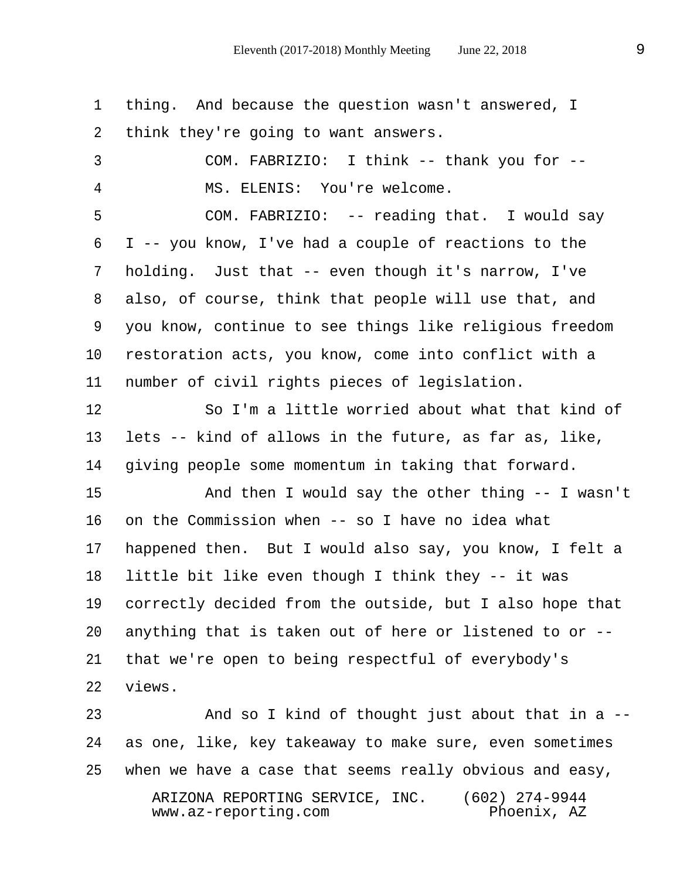1 thing. And because the question wasn't answered, I 2 think they're going to want answers.

 3 COM. FABRIZIO: I think -- thank you for -- 4 MS. ELENIS: You're welcome.

 5 COM. FABRIZIO: -- reading that. I would say 6 I -- you know, I've had a couple of reactions to the 7 holding. Just that -- even though it's narrow, I've 8 also, of course, think that people will use that, and 9 you know, continue to see things like religious freedom 10 restoration acts, you know, come into conflict with a 11 number of civil rights pieces of legislation.

12 So I'm a little worried about what that kind of 13 lets -- kind of allows in the future, as far as, like, 14 giving people some momentum in taking that forward.

15 And then I would say the other thing -- I wasn't 16 on the Commission when -- so I have no idea what 17 happened then. But I would also say, you know, I felt a 18 little bit like even though I think they -- it was 19 correctly decided from the outside, but I also hope that 20 anything that is taken out of here or listened to or -- 21 that we're open to being respectful of everybody's 22 views.

23 And so I kind of thought just about that in a -- 24 as one, like, key takeaway to make sure, even sometimes 25 when we have a case that seems really obvious and easy, ARIZONA REPORTING SERVICE, INC. (602) 274-9944<br>www.az-reporting.com (Phoenix, AZ  $www.az-reporting.com$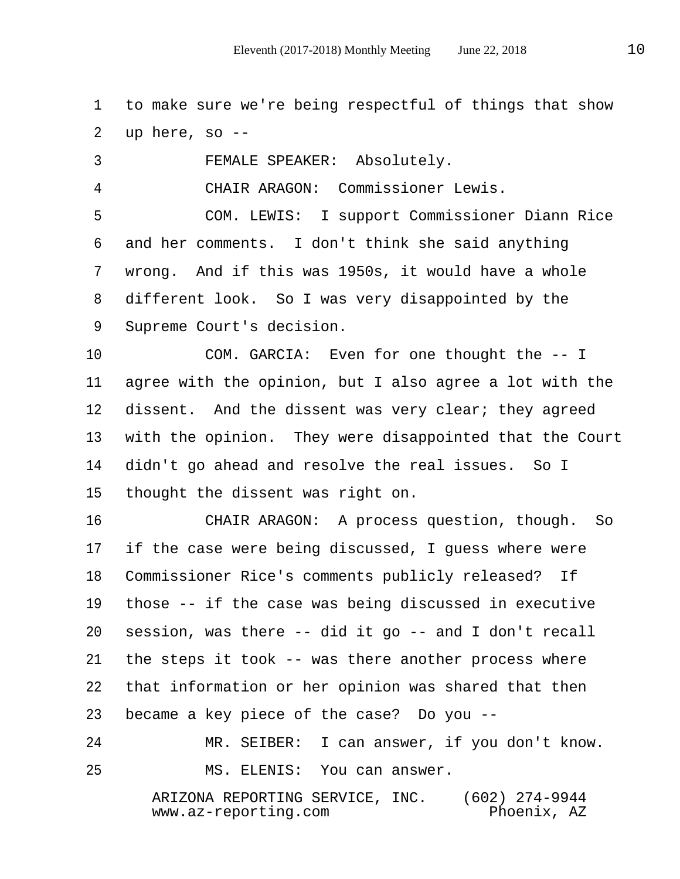1 to make sure we're being respectful of things that show 2 up here, so --

 3 FEMALE SPEAKER: Absolutely. 4 CHAIR ARAGON: Commissioner Lewis. 5 COM. LEWIS: I support Commissioner Diann Rice

 6 and her comments. I don't think she said anything 7 wrong. And if this was 1950s, it would have a whole 8 different look. So I was very disappointed by the 9 Supreme Court's decision.

10 COM. GARCIA: Even for one thought the -- I 11 agree with the opinion, but I also agree a lot with the 12 dissent. And the dissent was very clear; they agreed 13 with the opinion. They were disappointed that the Court 14 didn't go ahead and resolve the real issues. So I 15 thought the dissent was right on.

16 CHAIR ARAGON: A process question, though. So 17 if the case were being discussed, I guess where were 18 Commissioner Rice's comments publicly released? If 19 those -- if the case was being discussed in executive 20 session, was there -- did it go -- and I don't recall 21 the steps it took -- was there another process where 22 that information or her opinion was shared that then 23 became a key piece of the case? Do you --

24 MR. SEIBER: I can answer, if you don't know. 25 MS. ELENIS: You can answer.

> ARIZONA REPORTING SERVICE, INC. (602) 274-9944  $www.az-reporting.com$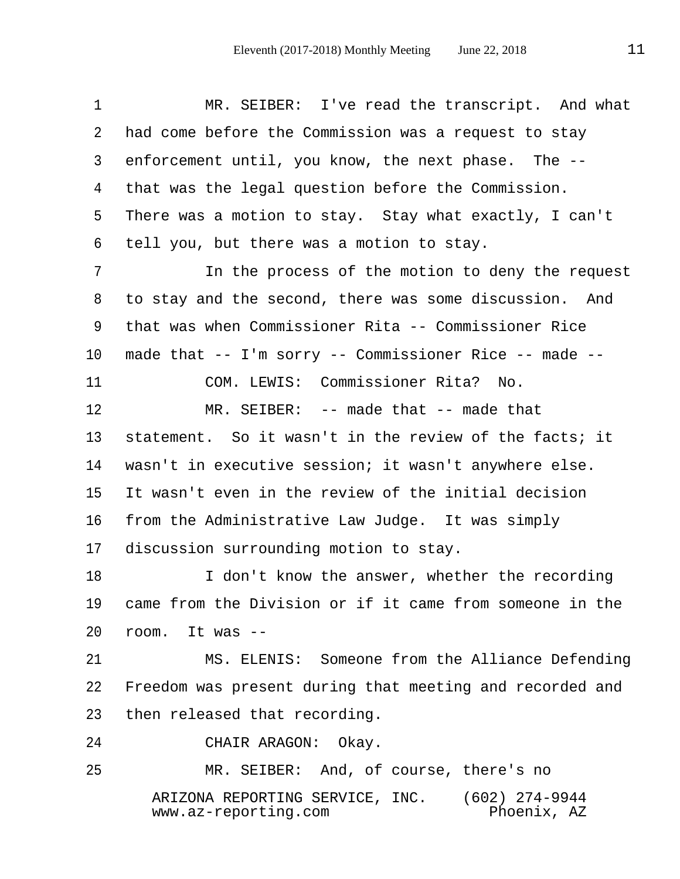| $\mathbf 1$     | MR. SEIBER: I've read the transcript. And what                                             |
|-----------------|--------------------------------------------------------------------------------------------|
| 2               | had come before the Commission was a request to stay                                       |
| 3               | enforcement until, you know, the next phase. The --                                        |
| 4               | that was the legal question before the Commission.                                         |
| 5               | There was a motion to stay. Stay what exactly, I can't                                     |
| 6               | tell you, but there was a motion to stay.                                                  |
| 7               | In the process of the motion to deny the request                                           |
| 8               | to stay and the second, there was some discussion. And                                     |
| 9               | that was when Commissioner Rita -- Commissioner Rice                                       |
| $10 \,$         | made that -- I'm sorry -- Commissioner Rice -- made --                                     |
| 11              | COM. LEWIS: Commissioner Rita? No.                                                         |
| 12              | MR. SEIBER: $-$ - made that $-$ - made that                                                |
| 13              | statement. So it wasn't in the review of the facts; it                                     |
| 14              | wasn't in executive session; it wasn't anywhere else.                                      |
| 15 <sub>2</sub> | It wasn't even in the review of the initial decision                                       |
| 16              | from the Administrative Law Judge. It was simply                                           |
| $17\,$          | discussion surrounding motion to stay.                                                     |
| 18              | I don't know the answer, whether the recording                                             |
| 19              | came from the Division or if it came from someone in the                                   |
| 20              | room. It was --                                                                            |
| 21              | MS. ELENIS: Someone from the Alliance Defending                                            |
| 22              | Freedom was present during that meeting and recorded and                                   |
| 23              | then released that recording.                                                              |
| 24              | CHAIR ARAGON:<br>Okay.                                                                     |
| 25              | MR. SEIBER: And, of course, there's no                                                     |
|                 | $(602)$ 274-9944<br>ARIZONA REPORTING SERVICE, INC.<br>www.az-reporting.com<br>Phoenix, AZ |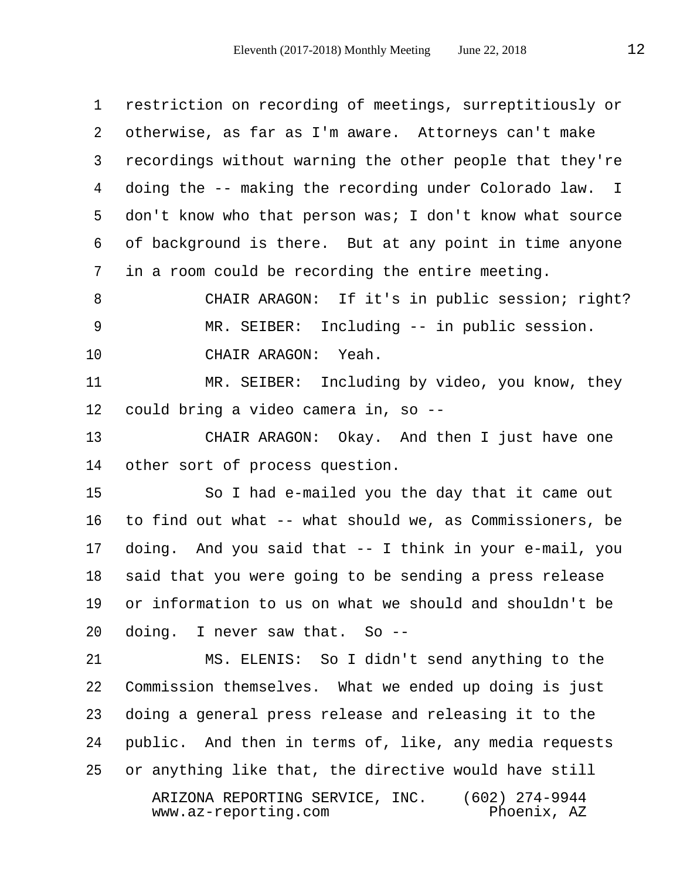1 restriction on recording of meetings, surreptitiously or 2 otherwise, as far as I'm aware. Attorneys can't make 3 recordings without warning the other people that they're 4 doing the -- making the recording under Colorado law. I 5 don't know who that person was; I don't know what source 6 of background is there. But at any point in time anyone 7 in a room could be recording the entire meeting.

 8 CHAIR ARAGON: If it's in public session; right? 9 MR. SEIBER: Including -- in public session. 10 CHAIR ARAGON: Yeah.

11 MR. SEIBER: Including by video, you know, they 12 could bring a video camera in, so --

13 CHAIR ARAGON: Okay. And then I just have one 14 other sort of process question.

15 So I had e-mailed you the day that it came out 16 to find out what -- what should we, as Commissioners, be 17 doing. And you said that -- I think in your e-mail, you 18 said that you were going to be sending a press release 19 or information to us on what we should and shouldn't be 20 doing. I never saw that. So --

21 MS. ELENIS: So I didn't send anything to the 22 Commission themselves. What we ended up doing is just 23 doing a general press release and releasing it to the 24 public. And then in terms of, like, any media requests 25 or anything like that, the directive would have still ARIZONA REPORTING SERVICE, INC. (602) 274-9944  $www.az-reporting.com$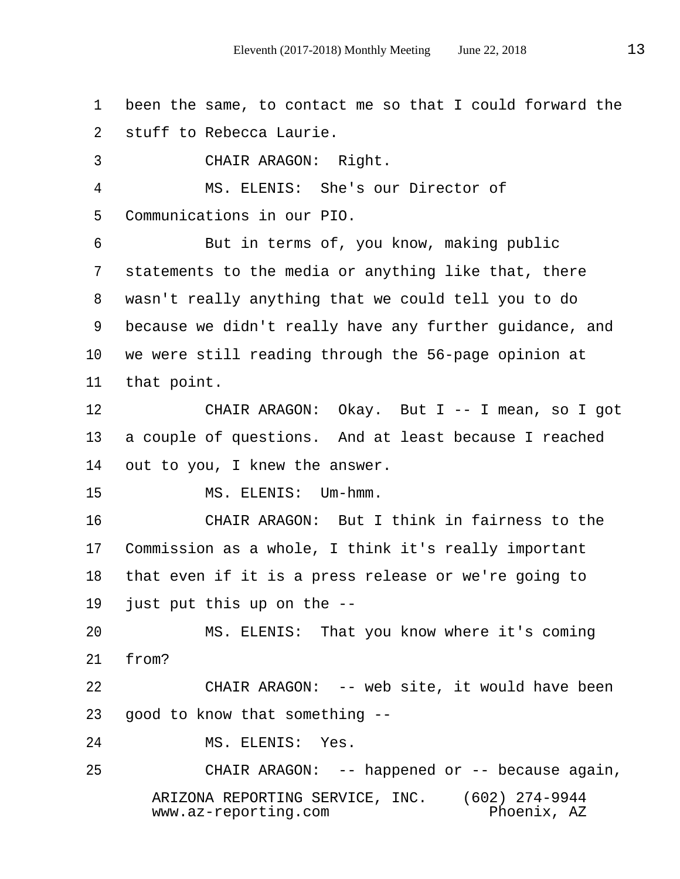1 been the same, to contact me so that I could forward the 2 stuff to Rebecca Laurie.

3 CHAIR ARAGON: Right.

 4 MS. ELENIS: She's our Director of 5 Communications in our PIO.

 6 But in terms of, you know, making public 7 statements to the media or anything like that, there 8 wasn't really anything that we could tell you to do 9 because we didn't really have any further guidance, and 10 we were still reading through the 56-page opinion at 11 that point.

12 CHAIR ARAGON: Okay. But I -- I mean, so I got 13 a couple of questions. And at least because I reached 14 out to you, I knew the answer.

15 MS. ELENIS: Um-hmm.

16 CHAIR ARAGON: But I think in fairness to the 17 Commission as a whole, I think it's really important 18 that even if it is a press release or we're going to 19 just put this up on the --

20 MS. ELENIS: That you know where it's coming 21 from?

22 CHAIR ARAGON: -- web site, it would have been 23 good to know that something --

24 MS. ELENIS: Yes.

25 CHAIR ARAGON: -- happened or -- because again, ARIZONA REPORTING SERVICE, INC. (602) 274-9944  $www.az-reporting.com$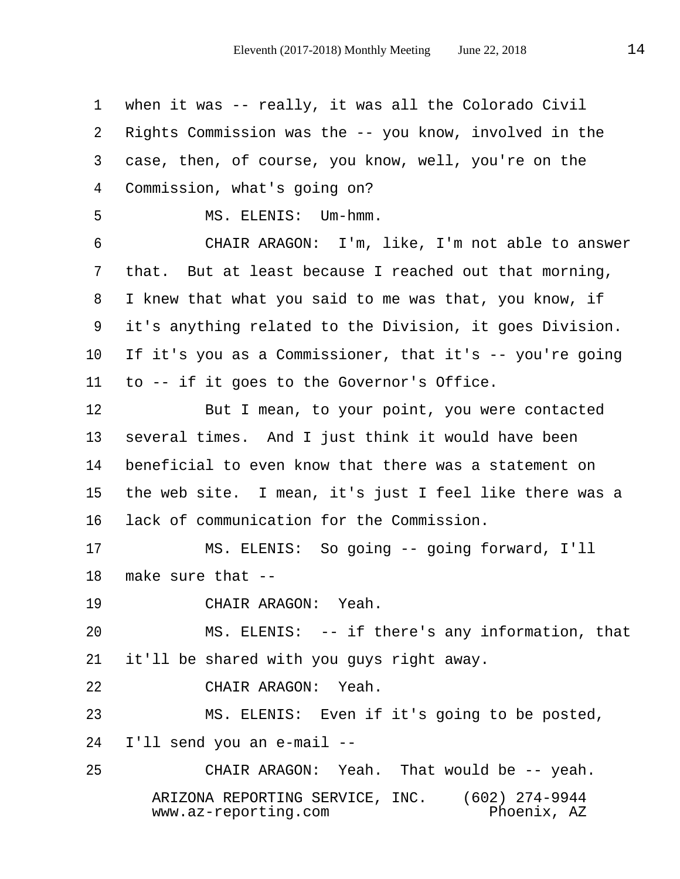1 when it was -- really, it was all the Colorado Civil 2 Rights Commission was the -- you know, involved in the 3 case, then, of course, you know, well, you're on the 4 Commission, what's going on? 5 MS. ELENIS: Um-hmm. 6 CHAIR ARAGON: I'm, like, I'm not able to answer 7 that. But at least because I reached out that morning, 8 I knew that what you said to me was that, you know, if 9 it's anything related to the Division, it goes Division. 10 If it's you as a Commissioner, that it's -- you're going 11 to -- if it goes to the Governor's Office. 12 But I mean, to your point, you were contacted 13 several times. And I just think it would have been 14 beneficial to even know that there was a statement on 15 the web site. I mean, it's just I feel like there was a 16 lack of communication for the Commission. 17 MS. ELENIS: So going -- going forward, I'll 18 make sure that -- 19 CHAIR ARAGON: Yeah. 20 MS. ELENIS: -- if there's any information, that 21 it'll be shared with you guys right away. 22 CHAIR ARAGON: Yeah. 23 MS. ELENIS: Even if it's going to be posted, 24 I'll send you an e-mail -- 25 CHAIR ARAGON: Yeah. That would be -- yeah. ARIZONA REPORTING SERVICE, INC. (602) 274-9944 www.az-reporting.com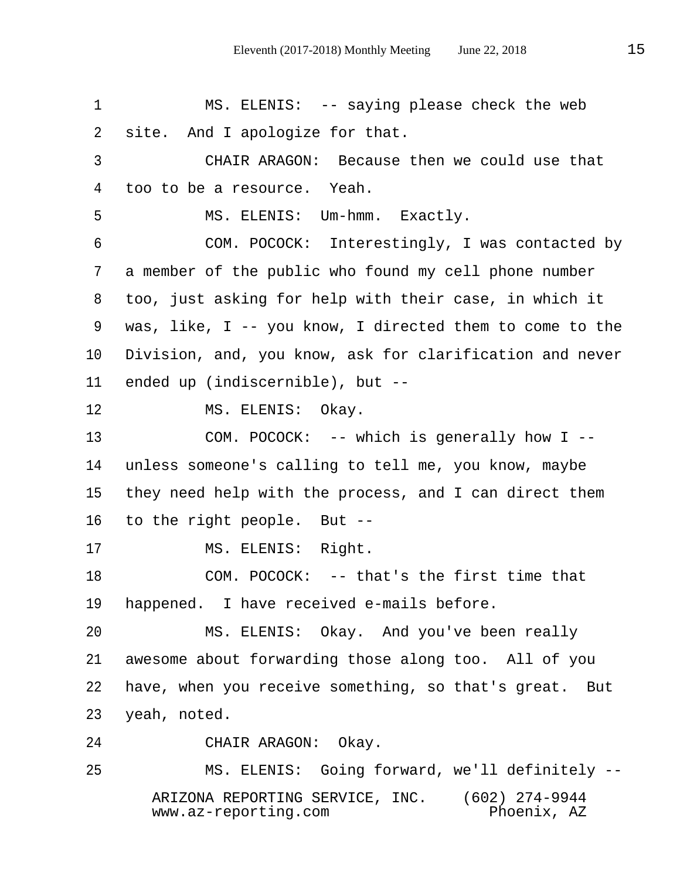1 MS. ELENIS: -- saying please check the web 2 site. And I apologize for that. 3 CHAIR ARAGON: Because then we could use that 4 too to be a resource. Yeah. 5 MS. ELENIS: Um-hmm. Exactly. 6 COM. POCOCK: Interestingly, I was contacted by 7 a member of the public who found my cell phone number 8 too, just asking for help with their case, in which it 9 was, like, I -- you know, I directed them to come to the 10 Division, and, you know, ask for clarification and never 11 ended up (indiscernible), but -- 12 MS. ELENIS: Okay. 13 COM. POCOCK: -- which is generally how I -- 14 unless someone's calling to tell me, you know, maybe 15 they need help with the process, and I can direct them 16 to the right people. But -- 17 MS. ELENIS: Right. 18 COM. POCOCK: -- that's the first time that 19 happened. I have received e-mails before. 20 MS. ELENIS: Okay. And you've been really 21 awesome about forwarding those along too. All of you 22 have, when you receive something, so that's great. But 23 yeah, noted. 24 CHAIR ARAGON: Okay. 25 MS. ELENIS: Going forward, we'll definitely --

> ARIZONA REPORTING SERVICE, INC. (602) 274-9944  $www.az-reporting.com$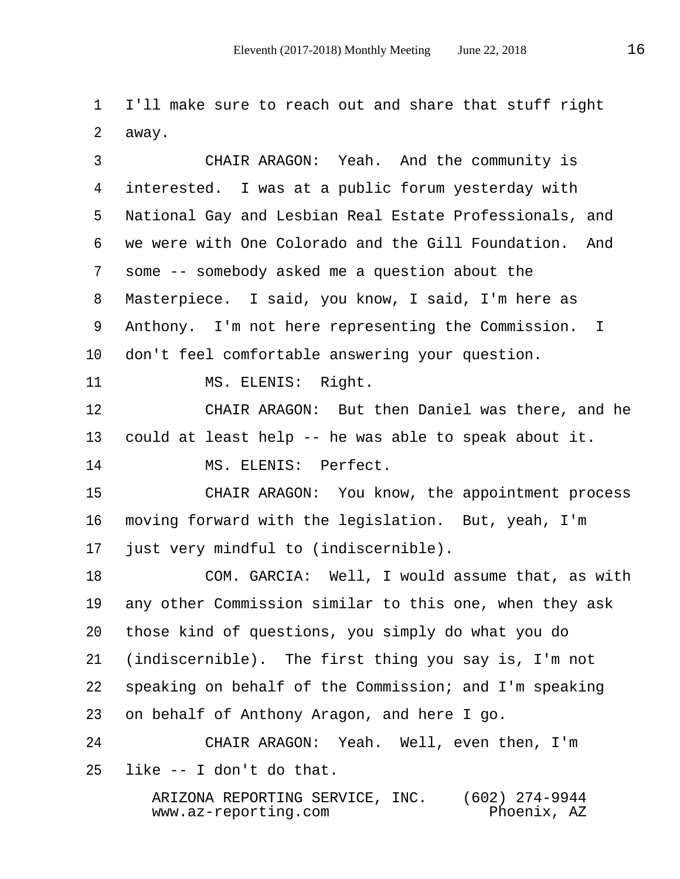1 I'll make sure to reach out and share that stuff right 2 away.

 3 CHAIR ARAGON: Yeah. And the community is 4 interested. I was at a public forum yesterday with 5 National Gay and Lesbian Real Estate Professionals, and 6 we were with One Colorado and the Gill Foundation. And 7 some -- somebody asked me a question about the 8 Masterpiece. I said, you know, I said, I'm here as 9 Anthony. I'm not here representing the Commission. I 10 don't feel comfortable answering your question. 11 MS. ELENIS: Right. 12 CHAIR ARAGON: But then Daniel was there, and he 13 could at least help -- he was able to speak about it. 14 MS. ELENIS: Perfect. 15 CHAIR ARAGON: You know, the appointment process 16 moving forward with the legislation. But, yeah, I'm 17 just very mindful to (indiscernible). 18 COM. GARCIA: Well, I would assume that, as with 19 any other Commission similar to this one, when they ask 20 those kind of questions, you simply do what you do 21 (indiscernible). The first thing you say is, I'm not 22 speaking on behalf of the Commission; and I'm speaking 23 on behalf of Anthony Aragon, and here I go. 24 CHAIR ARAGON: Yeah. Well, even then, I'm 25 like -- I don't do that.

> ARIZONA REPORTING SERVICE, INC. (602) 274-9944  $www.az-reporting.com$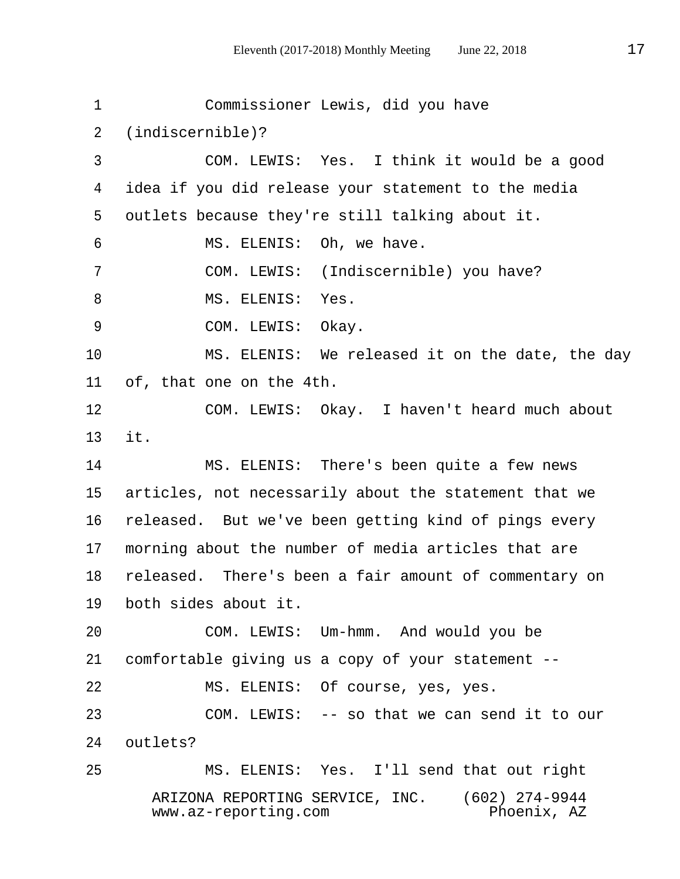1 Commissioner Lewis, did you have 2 (indiscernible)? 3 COM. LEWIS: Yes. I think it would be a good 4 idea if you did release your statement to the media 5 outlets because they're still talking about it. 6 MS. ELENIS: Oh, we have. 7 COM. LEWIS: (Indiscernible) you have? 8 MS. ELENIS: Yes. 9 COM. LEWIS: Okay. 10 MS. ELENIS: We released it on the date, the day 11 of, that one on the 4th. 12 COM. LEWIS: Okay. I haven't heard much about 13 it. 14 MS. ELENIS: There's been quite a few news 15 articles, not necessarily about the statement that we 16 released. But we've been getting kind of pings every 17 morning about the number of media articles that are 18 released. There's been a fair amount of commentary on 19 both sides about it. 20 COM. LEWIS: Um-hmm. And would you be 21 comfortable giving us a copy of your statement -- 22 MS. ELENIS: Of course, yes, yes. 23 COM. LEWIS: -- so that we can send it to our 24 outlets? 25 MS. ELENIS: Yes. I'll send that out right ARIZONA REPORTING SERVICE, INC. (602) 274-9944  $www.az-reporting.com$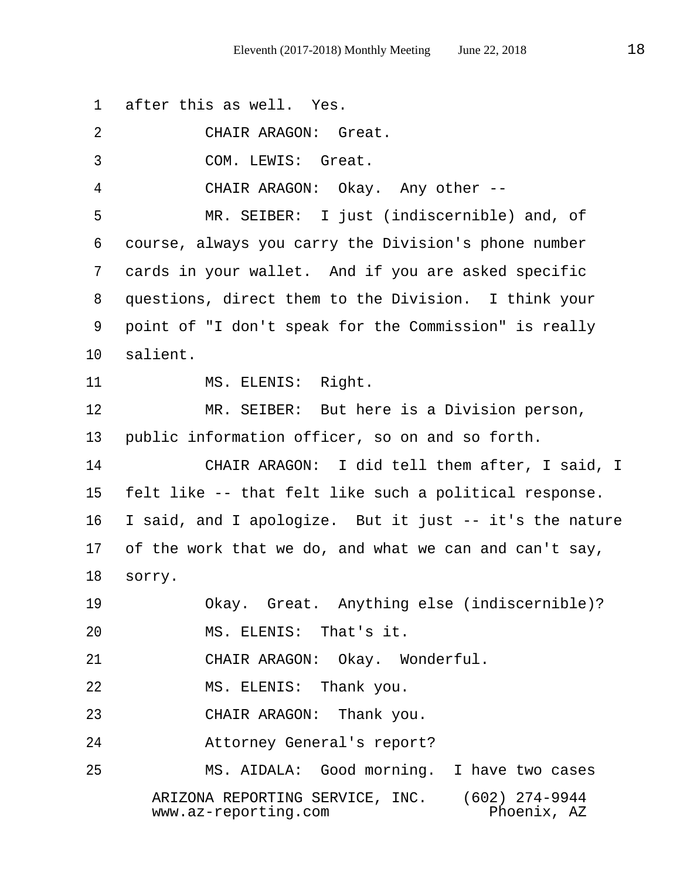1 after this as well. Yes. 2 CHAIR ARAGON: Great. 3 COM. LEWIS: Great. 4 CHAIR ARAGON: Okay. Any other -- 5 MR. SEIBER: I just (indiscernible) and, of 6 course, always you carry the Division's phone number 7 cards in your wallet. And if you are asked specific 8 questions, direct them to the Division. I think your 9 point of "I don't speak for the Commission" is really 10 salient. 11 MS. ELENIS: Right. 12 MR. SEIBER: But here is a Division person, 13 public information officer, so on and so forth. 14 CHAIR ARAGON: I did tell them after, I said, I 15 felt like -- that felt like such a political response. 16 I said, and I apologize. But it just -- it's the nature 17 of the work that we do, and what we can and can't say, 18 sorry. 19 Okay. Great. Anything else (indiscernible)? 20 MS. ELENIS: That's it. 21 CHAIR ARAGON: Okay. Wonderful. 22 MS. ELENIS: Thank you. 23 CHAIR ARAGON: Thank you. 24 Attorney General's report? 25 MS. AIDALA: Good morning. I have two cases ARIZONA REPORTING SERVICE, INC. (602) 274-9944  $www.az-reporting.com$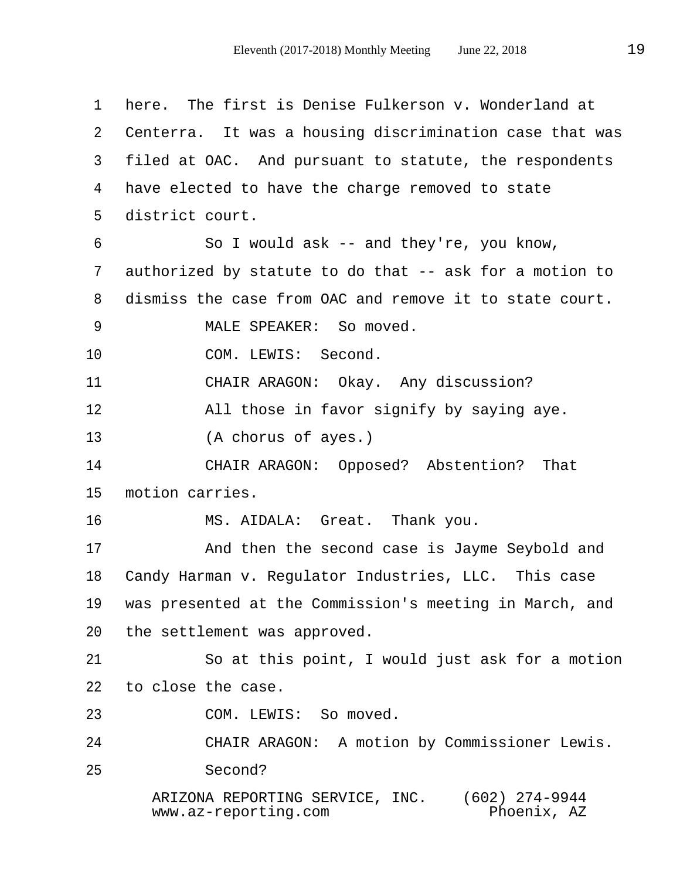1 here. The first is Denise Fulkerson v. Wonderland at 2 Centerra. It was a housing discrimination case that was 3 filed at OAC. And pursuant to statute, the respondents 4 have elected to have the charge removed to state 5 district court. 6 So I would ask -- and they're, you know, 7 authorized by statute to do that -- ask for a motion to 8 dismiss the case from OAC and remove it to state court. 9 MALE SPEAKER: So moved. 10 COM. LEWIS: Second. 11 CHAIR ARAGON: Okay. Any discussion? 12 All those in favor signify by saying aye. 13 (A chorus of ayes.) 14 CHAIR ARAGON: Opposed? Abstention? That 15 motion carries. 16 MS. AIDALA: Great. Thank you. 17 And then the second case is Jayme Seybold and 18 Candy Harman v. Regulator Industries, LLC. This case 19 was presented at the Commission's meeting in March, and 20 the settlement was approved. 21 So at this point, I would just ask for a motion 22 to close the case. 23 COM. LEWIS: So moved. 24 CHAIR ARAGON: A motion by Commissioner Lewis. 25 Second? ARIZONA REPORTING SERVICE, INC. (602) 274-9944  $www.az-reporting.com$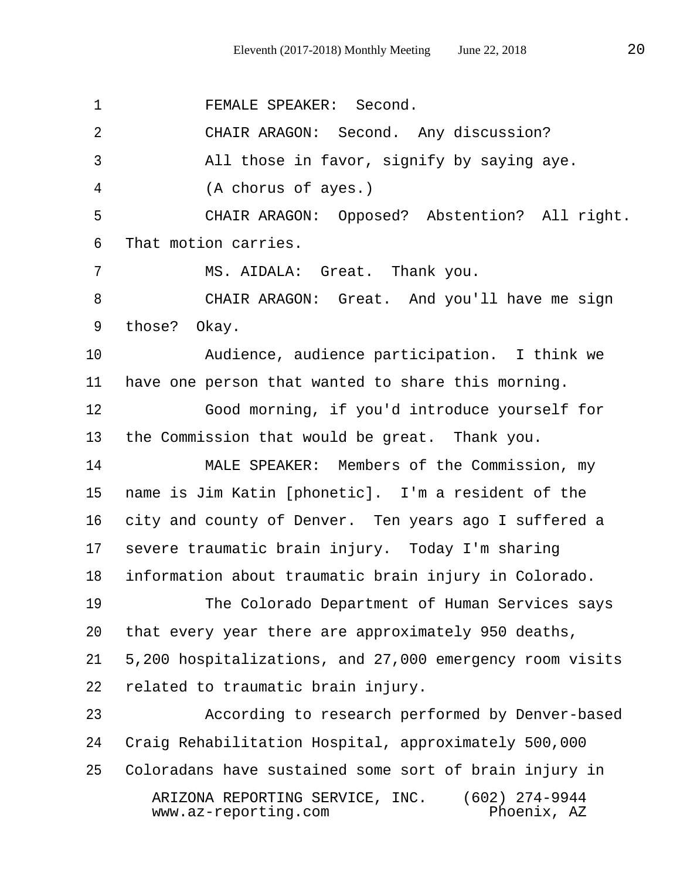1 FEMALE SPEAKER: Second. 2 CHAIR ARAGON: Second. Any discussion? 3 All those in favor, signify by saying aye. 4 (A chorus of ayes.) 5 CHAIR ARAGON: Opposed? Abstention? All right. 6 That motion carries. 7 MS. AIDALA: Great. Thank you. 8 CHAIR ARAGON: Great. And you'll have me sign 9 those? Okay. 10 Audience, audience participation. I think we 11 have one person that wanted to share this morning. 12 Good morning, if you'd introduce yourself for 13 the Commission that would be great. Thank you. 14 MALE SPEAKER: Members of the Commission, my 15 name is Jim Katin [phonetic]. I'm a resident of the 16 city and county of Denver. Ten years ago I suffered a 17 severe traumatic brain injury. Today I'm sharing 18 information about traumatic brain injury in Colorado. 19 The Colorado Department of Human Services says 20 that every year there are approximately 950 deaths, 21 5,200 hospitalizations, and 27,000 emergency room visits 22 related to traumatic brain injury. 23 According to research performed by Denver-based 24 Craig Rehabilitation Hospital, approximately 500,000 25 Coloradans have sustained some sort of brain injury in ARIZONA REPORTING SERVICE, INC. (602) 274-9944  $www.az-reporting.com$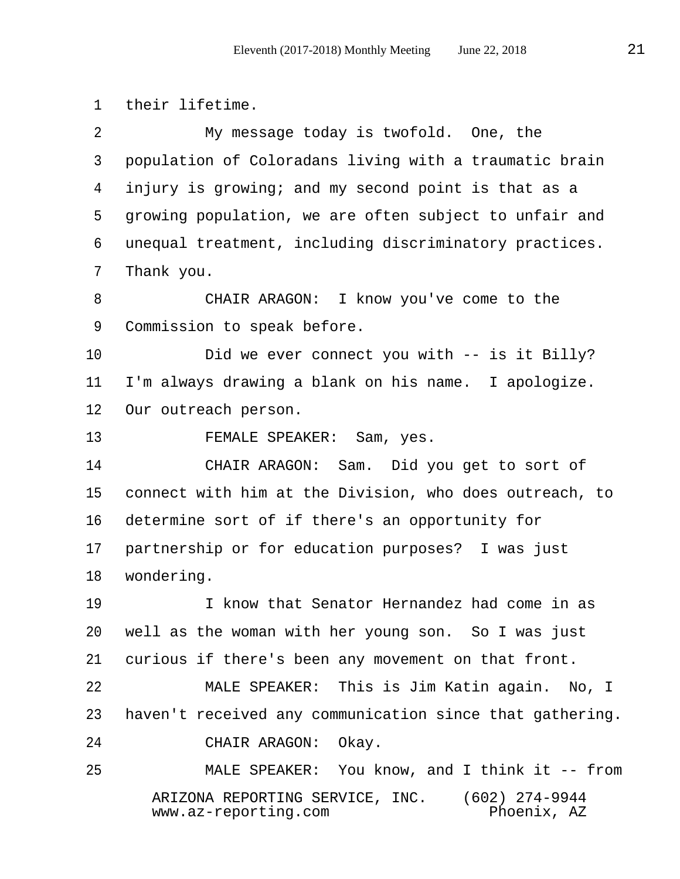1 their lifetime. 2 My message today is twofold. One, the 3 population of Coloradans living with a traumatic brain 4 injury is growing; and my second point is that as a 5 growing population, we are often subject to unfair and 6 unequal treatment, including discriminatory practices. 7 Thank you. 8 CHAIR ARAGON: I know you've come to the 9 Commission to speak before. 10 Did we ever connect you with -- is it Billy? 11 I'm always drawing a blank on his name. I apologize. 12 Our outreach person. 13 FEMALE SPEAKER: Sam, yes. 14 CHAIR ARAGON: Sam. Did you get to sort of 15 connect with him at the Division, who does outreach, to 16 determine sort of if there's an opportunity for 17 partnership or for education purposes? I was just 18 wondering. 19 I know that Senator Hernandez had come in as 20 well as the woman with her young son. So I was just 21 curious if there's been any movement on that front. 22 MALE SPEAKER: This is Jim Katin again. No, I 23 haven't received any communication since that gathering. 24 CHAIR ARAGON: Okay. 25 MALE SPEAKER: You know, and I think it -- from ARIZONA REPORTING SERVICE, INC. (602) 274-9944<br>www.az-reporting.com Phoenix, AZ  $www.az-reporting.com$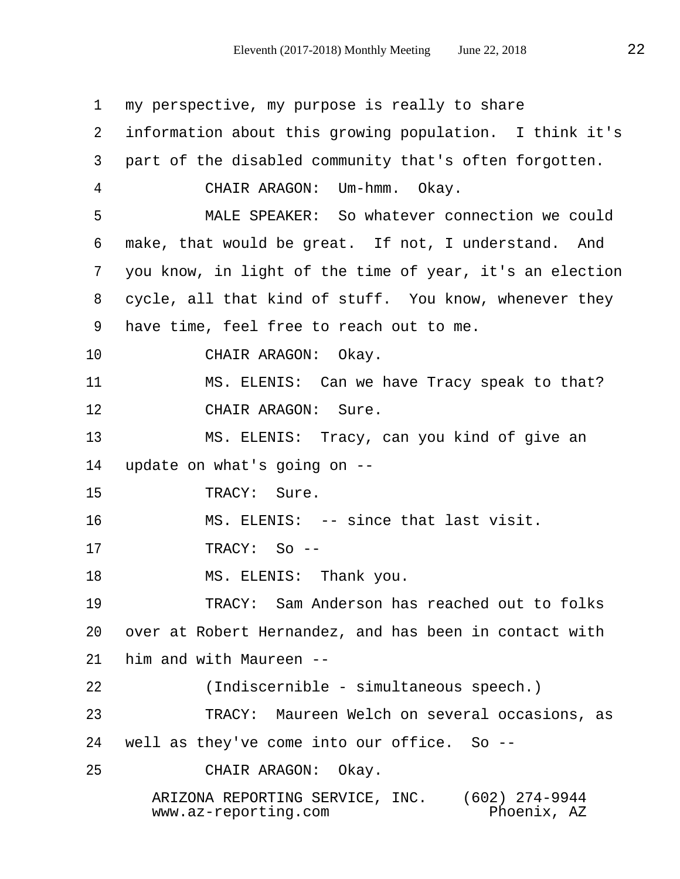1 my perspective, my purpose is really to share 2 information about this growing population. I think it's 3 part of the disabled community that's often forgotten. 4 CHAIR ARAGON: Um-hmm. Okay. 5 MALE SPEAKER: So whatever connection we could 6 make, that would be great. If not, I understand. And 7 you know, in light of the time of year, it's an election 8 cycle, all that kind of stuff. You know, whenever they 9 have time, feel free to reach out to me. 10 CHAIR ARAGON: Okay. 11 MS. ELENIS: Can we have Tracy speak to that? 12 CHAIR ARAGON: Sure. 13 MS. ELENIS: Tracy, can you kind of give an 14 update on what's going on -- 15 TRACY: Sure. 16 MS. ELENIS: -- since that last visit. 17 TRACY: So -- 18 MS. ELENIS: Thank you. 19 TRACY: Sam Anderson has reached out to folks 20 over at Robert Hernandez, and has been in contact with 21 him and with Maureen -- 22 (Indiscernible - simultaneous speech.) 23 TRACY: Maureen Welch on several occasions, as 24 well as they've come into our office. So -- 25 CHAIR ARAGON: Okay. ARIZONA REPORTING SERVICE, INC. (602) 274-9944  $www.az-reporting.com$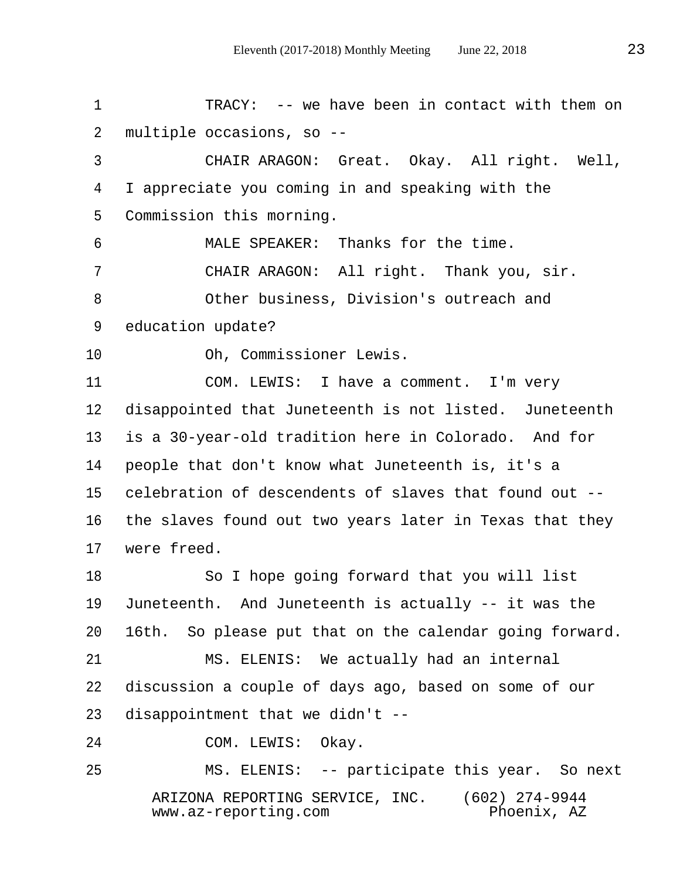1 TRACY: -- we have been in contact with them on 2 multiple occasions, so --

 3 CHAIR ARAGON: Great. Okay. All right. Well, 4 I appreciate you coming in and speaking with the 5 Commission this morning.

 6 MALE SPEAKER: Thanks for the time. 7 CHAIR ARAGON: All right. Thank you, sir. 8 Other business, Division's outreach and 9 education update?

10 Oh, Commissioner Lewis.

11 COM. LEWIS: I have a comment. I'm very 12 disappointed that Juneteenth is not listed. Juneteenth 13 is a 30-year-old tradition here in Colorado. And for 14 people that don't know what Juneteenth is, it's a 15 celebration of descendents of slaves that found out -- 16 the slaves found out two years later in Texas that they 17 were freed.

18 So I hope going forward that you will list 19 Juneteenth. And Juneteenth is actually -- it was the 20 16th. So please put that on the calendar going forward.

21 MS. ELENIS: We actually had an internal 22 discussion a couple of days ago, based on some of our 23 disappointment that we didn't --

24 COM. LEWIS: Okay.

25 MS. ELENIS: -- participate this year. So next ARIZONA REPORTING SERVICE, INC. (602) 274-9944  $www.az-reporting.com$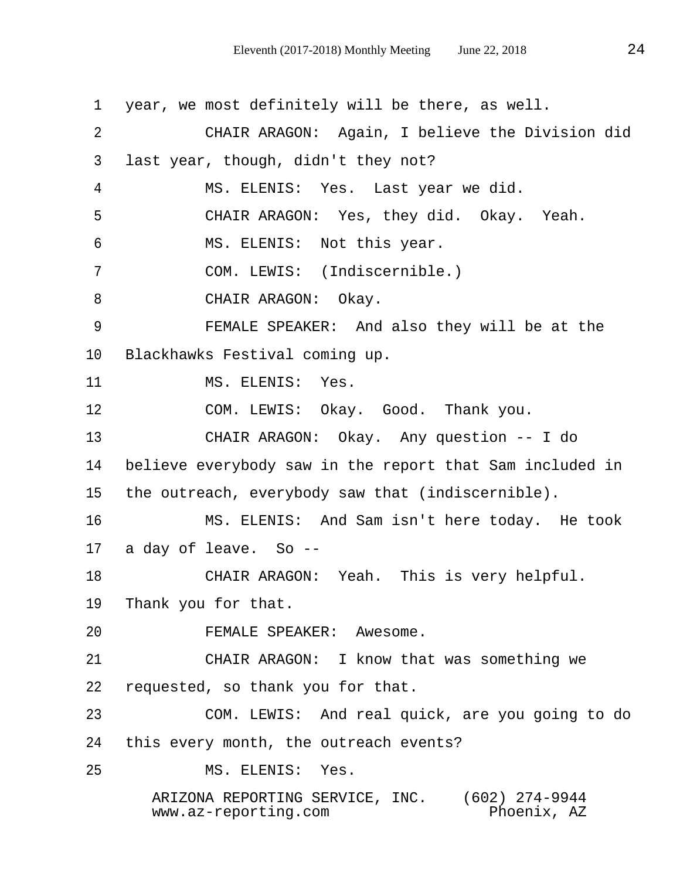1 year, we most definitely will be there, as well. 2 CHAIR ARAGON: Again, I believe the Division did 3 last year, though, didn't they not? 4 MS. ELENIS: Yes. Last year we did. 5 CHAIR ARAGON: Yes, they did. Okay. Yeah. 6 MS. ELENIS: Not this year. 7 COM. LEWIS: (Indiscernible.) 8 CHAIR ARAGON: Okay. 9 FEMALE SPEAKER: And also they will be at the 10 Blackhawks Festival coming up. 11 MS. ELENIS: Yes. 12 COM. LEWIS: Okay. Good. Thank you. 13 CHAIR ARAGON: Okay. Any question -- I do 14 believe everybody saw in the report that Sam included in 15 the outreach, everybody saw that (indiscernible). 16 MS. ELENIS: And Sam isn't here today. He took 17 a day of leave. So -- 18 CHAIR ARAGON: Yeah. This is very helpful. 19 Thank you for that. 20 FEMALE SPEAKER: Awesome. 21 CHAIR ARAGON: I know that was something we 22 requested, so thank you for that. 23 COM. LEWIS: And real quick, are you going to do 24 this every month, the outreach events? 25 MS. ELENIS: Yes. ARIZONA REPORTING SERVICE, INC. (602) 274-9944<br>www.az-reporting.com Phoenix, AZ  $www.az-reporting.com$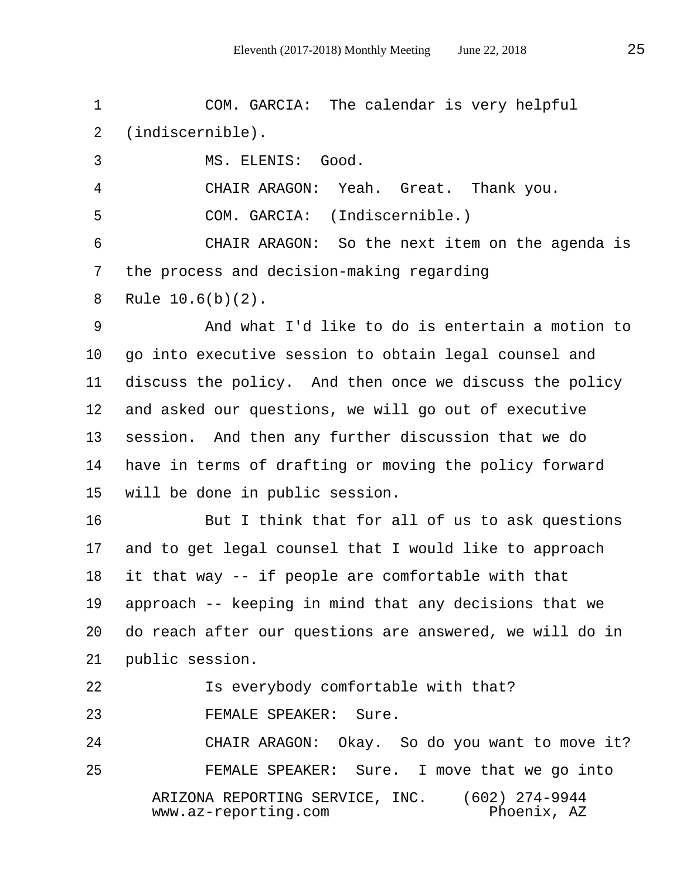1 COM. GARCIA: The calendar is very helpful 2 (indiscernible). 3 MS. ELENIS: Good. 4 CHAIR ARAGON: Yeah. Great. Thank you. 5 COM. GARCIA: (Indiscernible.) 6 CHAIR ARAGON: So the next item on the agenda is 7 the process and decision-making regarding 8 Rule 10.6(b)(2). 9 And what I'd like to do is entertain a motion to 10 go into executive session to obtain legal counsel and 11 discuss the policy. And then once we discuss the policy 12 and asked our questions, we will go out of executive 13 session. And then any further discussion that we do 14 have in terms of drafting or moving the policy forward 15 will be done in public session. 16 But I think that for all of us to ask questions

17 and to get legal counsel that I would like to approach 18 it that way -- if people are comfortable with that 19 approach -- keeping in mind that any decisions that we 20 do reach after our questions are answered, we will do in 21 public session.

22 Is everybody comfortable with that?

23 FEMALE SPEAKER: Sure.

24 CHAIR ARAGON: Okay. So do you want to move it? 25 FEMALE SPEAKER: Sure. I move that we go into ARIZONA REPORTING SERVICE, INC. (602) 274-9944 www.az-reporting.com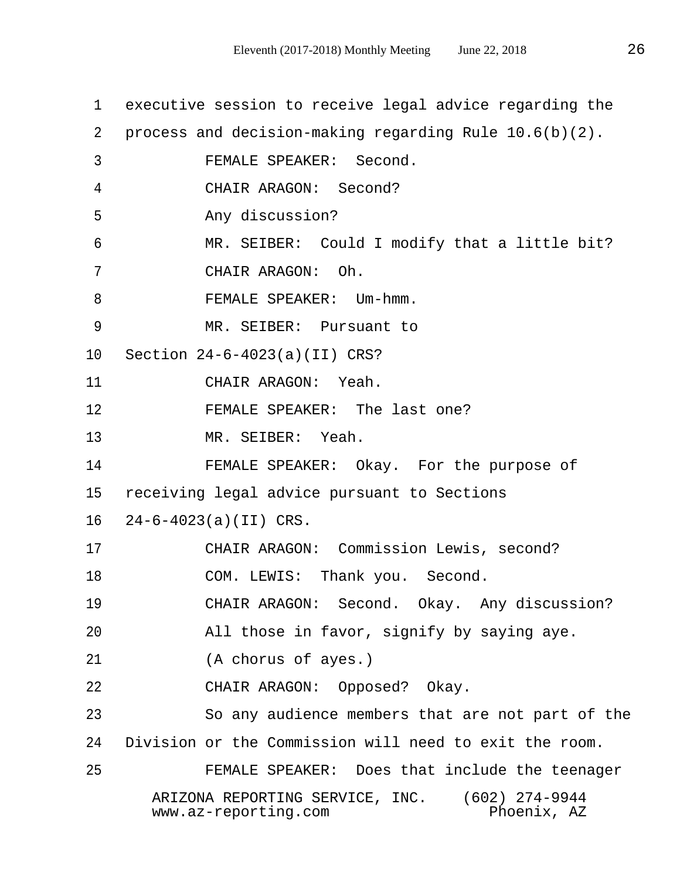1 executive session to receive legal advice regarding the 2 process and decision-making regarding Rule 10.6(b)(2). 3 FEMALE SPEAKER: Second. 4 CHAIR ARAGON: Second? 5 Any discussion? 6 MR. SEIBER: Could I modify that a little bit? 7 CHAIR ARAGON: Oh. 8 FEMALE SPEAKER: Um-hmm. 9 MR. SEIBER: Pursuant to 10 Section 24-6-4023(a)(II) CRS? 11 CHAIR ARAGON: Yeah. 12 FEMALE SPEAKER: The last one? 13 MR. SEIBER: Yeah. 14 FEMALE SPEAKER: Okay. For the purpose of 15 receiving legal advice pursuant to Sections 16 24-6-4023(a)(II) CRS. 17 CHAIR ARAGON: Commission Lewis, second? 18 COM. LEWIS: Thank you. Second. 19 CHAIR ARAGON: Second. Okay. Any discussion? 20 All those in favor, signify by saying aye. 21 (A chorus of ayes.) 22 CHAIR ARAGON: Opposed? Okay. 23 So any audience members that are not part of the 24 Division or the Commission will need to exit the room. 25 FEMALE SPEAKER: Does that include the teenager ARIZONA REPORTING SERVICE, INC. (602) 274-9944  $www.az-reporting.com$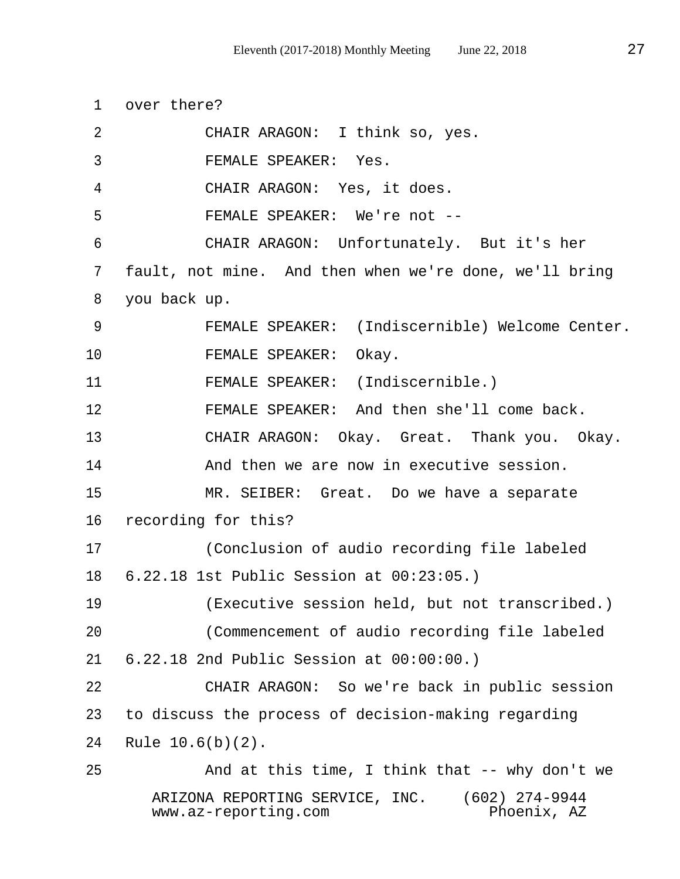1 over there? 2 CHAIR ARAGON: I think so, yes. 3 FEMALE SPEAKER: Yes. 4 CHAIR ARAGON: Yes, it does. 5 FEMALE SPEAKER: We're not -- 6 CHAIR ARAGON: Unfortunately. But it's her 7 fault, not mine. And then when we're done, we'll bring 8 you back up. 9 FEMALE SPEAKER: (Indiscernible) Welcome Center. 10 FEMALE SPEAKER: Okay. 11 FEMALE SPEAKER: (Indiscernible.) 12 FEMALE SPEAKER: And then she'll come back. 13 CHAIR ARAGON: Okay. Great. Thank you. Okay. 14 And then we are now in executive session. 15 MR. SEIBER: Great. Do we have a separate 16 recording for this? 17 (Conclusion of audio recording file labeled 18 6.22.18 1st Public Session at 00:23:05.) 19 (Executive session held, but not transcribed.) 20 (Commencement of audio recording file labeled 21 6.22.18 2nd Public Session at 00:00:00.) 22 CHAIR ARAGON: So we're back in public session 23 to discuss the process of decision-making regarding 24 Rule 10.6(b)(2). 25 And at this time, I think that -- why don't we ARIZONA REPORTING SERVICE, INC. (602) 274-9944  $www.az-reporting.com$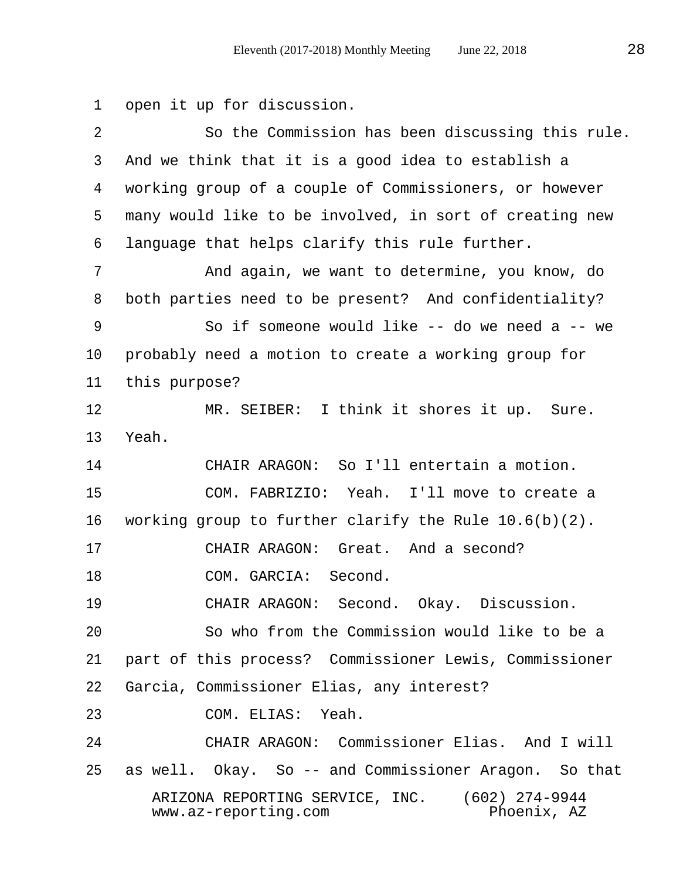1 open it up for discussion.

| $\overline{2}$ | So the Commission has been discussing this rule.                                      |
|----------------|---------------------------------------------------------------------------------------|
| $\mathsf{3}$   | And we think that it is a good idea to establish a                                    |
| 4              | working group of a couple of Commissioners, or however                                |
| 5              | many would like to be involved, in sort of creating new                               |
| 6              | language that helps clarify this rule further.                                        |
| 7              | And again, we want to determine, you know, do                                         |
| 8              | both parties need to be present? And confidentiality?                                 |
| 9              | So if someone would like -- do we need a -- we                                        |
| $10\,$         | probably need a motion to create a working group for                                  |
| 11             | this purpose?                                                                         |
| 12             | MR. SEIBER: I think it shores it up. Sure.                                            |
| 13             | Yeah.                                                                                 |
| 14             | CHAIR ARAGON: So I'll entertain a motion.                                             |
| 15             | COM. FABRIZIO: Yeah. I'll move to create a                                            |
| 16             | working group to further clarify the Rule $10.6(b)(2)$ .                              |
| 17             | CHAIR ARAGON: Great. And a second?                                                    |
| 18             | COM. GARCIA: Second.                                                                  |
| 19             | CHAIR ARAGON: Second. Okay. Discussion.                                               |
| 20             | So who from the Commission would like to be a                                         |
| 21             | part of this process? Commissioner Lewis, Commissioner                                |
| 22             | Garcia, Commissioner Elias, any interest?                                             |
| 23             | COM. ELIAS: Yeah.                                                                     |
| 24             | CHAIR ARAGON: Commissioner Elias. And I will                                          |
| 25             | as well. Okay. So -- and Commissioner Aragon. So that                                 |
|                | ARIZONA REPORTING SERVICE, INC. (602) 274-9944<br>Phoenix, AZ<br>www.az-reporting.com |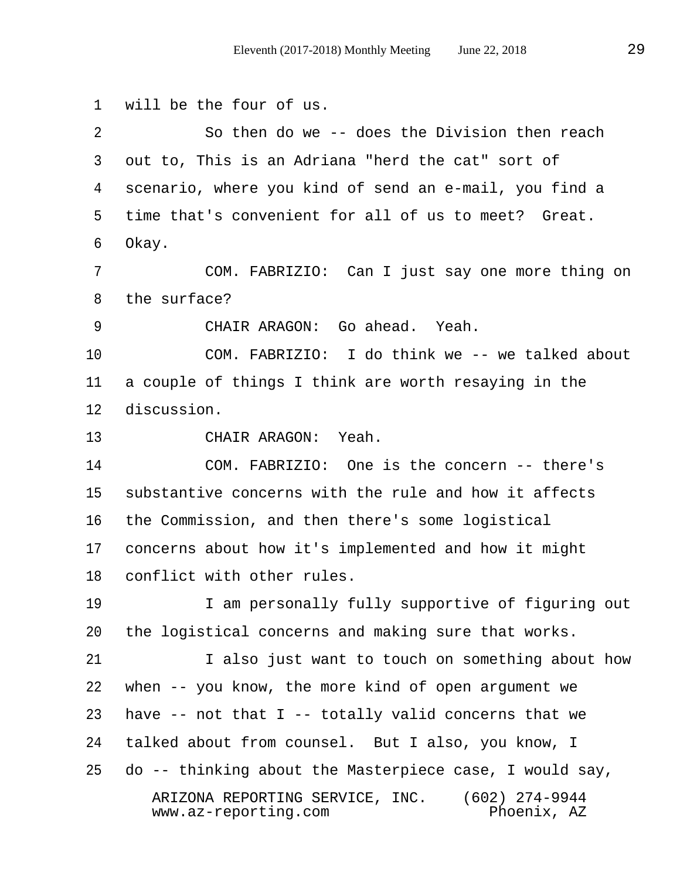1 will be the four of us. 2 So then do we -- does the Division then reach 3 out to, This is an Adriana "herd the cat" sort of 4 scenario, where you kind of send an e-mail, you find a 5 time that's convenient for all of us to meet? Great. 6 Okay. 7 COM. FABRIZIO: Can I just say one more thing on 8 the surface? 9 CHAIR ARAGON: Go ahead. Yeah. 10 COM. FABRIZIO: I do think we -- we talked about 11 a couple of things I think are worth resaying in the 12 discussion. 13 CHAIR ARAGON: Yeah. 14 COM. FABRIZIO: One is the concern -- there's 15 substantive concerns with the rule and how it affects 16 the Commission, and then there's some logistical 17 concerns about how it's implemented and how it might 18 conflict with other rules. 19 10 I am personally fully supportive of figuring out 20 the logistical concerns and making sure that works. 21 I also just want to touch on something about how 22 when -- you know, the more kind of open argument we 23 have -- not that I -- totally valid concerns that we 24 talked about from counsel. But I also, you know, I 25 do -- thinking about the Masterpiece case, I would say, ARIZONA REPORTING SERVICE, INC. (602) 274-9944  $www.az-reporting.com$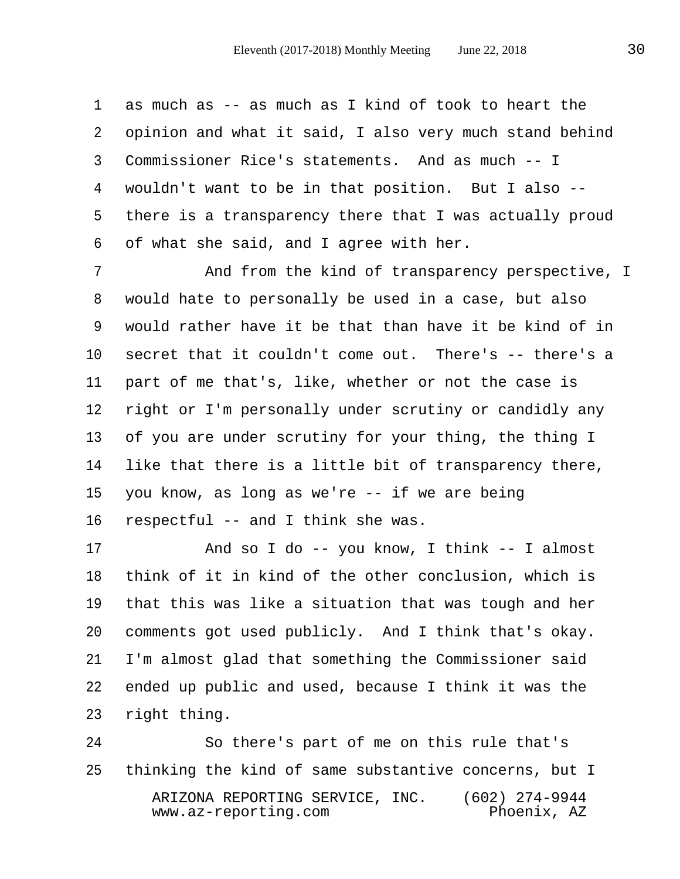1 as much as -- as much as I kind of took to heart the 2 opinion and what it said, I also very much stand behind 3 Commissioner Rice's statements. And as much -- I 4 wouldn't want to be in that position. But I also -- 5 there is a transparency there that I was actually proud 6 of what she said, and I agree with her.

 7 And from the kind of transparency perspective, I 8 would hate to personally be used in a case, but also 9 would rather have it be that than have it be kind of in 10 secret that it couldn't come out. There's -- there's a 11 part of me that's, like, whether or not the case is 12 right or I'm personally under scrutiny or candidly any 13 of you are under scrutiny for your thing, the thing I 14 like that there is a little bit of transparency there, 15 you know, as long as we're -- if we are being 16 respectful -- and I think she was.

17 And so I do -- you know, I think -- I almost 18 think of it in kind of the other conclusion, which is 19 that this was like a situation that was tough and her 20 comments got used publicly. And I think that's okay. 21 I'm almost glad that something the Commissioner said 22 ended up public and used, because I think it was the 23 right thing.

24 So there's part of me on this rule that's 25 thinking the kind of same substantive concerns, but I ARIZONA REPORTING SERVICE, INC. (602) 274-9944  $www.az-reporting.com$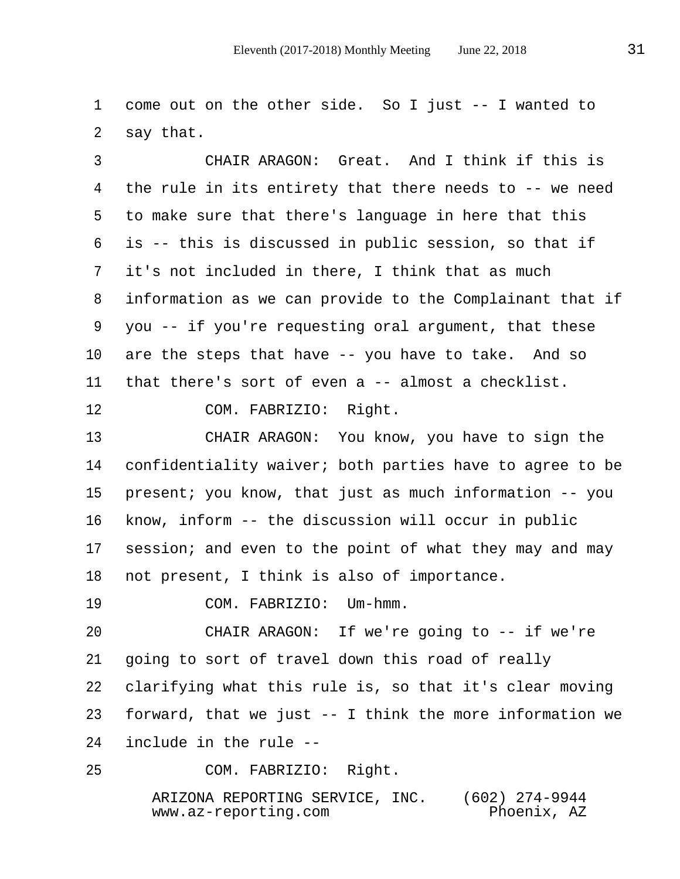1 come out on the other side. So I just -- I wanted to 2 say that.

 3 CHAIR ARAGON: Great. And I think if this is 4 the rule in its entirety that there needs to -- we need 5 to make sure that there's language in here that this 6 is -- this is discussed in public session, so that if 7 it's not included in there, I think that as much 8 information as we can provide to the Complainant that if 9 you -- if you're requesting oral argument, that these 10 are the steps that have -- you have to take. And so 11 that there's sort of even a -- almost a checklist.

12 COM. FABRIZIO: Right.

13 CHAIR ARAGON: You know, you have to sign the 14 confidentiality waiver; both parties have to agree to be 15 present; you know, that just as much information -- you 16 know, inform -- the discussion will occur in public 17 session; and even to the point of what they may and may 18 not present, I think is also of importance.

19 COM. FABRIZIO: Um-hmm.

20 CHAIR ARAGON: If we're going to -- if we're 21 going to sort of travel down this road of really 22 clarifying what this rule is, so that it's clear moving 23 forward, that we just -- I think the more information we 24 include in the rule --

25 COM. FABRIZIO: Right.

 ARIZONA REPORTING SERVICE, INC. (602) 274-9944  $www.az-reporting.com$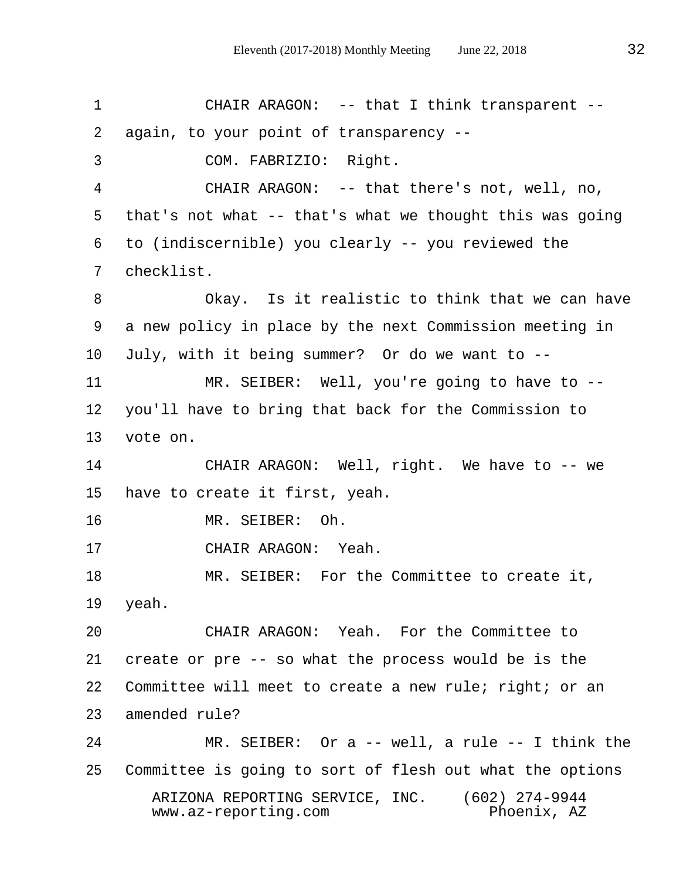1 CHAIR ARAGON: -- that I think transparent -- 2 again, to your point of transparency -- 3 COM. FABRIZIO: Right. 4 CHAIR ARAGON: -- that there's not, well, no, 5 that's not what -- that's what we thought this was going 6 to (indiscernible) you clearly -- you reviewed the 7 checklist. 8 Okay. Is it realistic to think that we can have 9 a new policy in place by the next Commission meeting in 10 July, with it being summer? Or do we want to -- 11 MR. SEIBER: Well, you're going to have to -- 12 you'll have to bring that back for the Commission to 13 vote on. 14 CHAIR ARAGON: Well, right. We have to -- we 15 have to create it first, yeah. 16 MR. SEIBER: Oh. 17 CHAIR ARAGON: Yeah. 18 MR. SEIBER: For the Committee to create it, 19 yeah. 20 CHAIR ARAGON: Yeah. For the Committee to 21 create or pre -- so what the process would be is the 22 Committee will meet to create a new rule; right; or an 23 amended rule? 24 MR. SEIBER: Or a -- well, a rule -- I think the 25 Committee is going to sort of flesh out what the options ARIZONA REPORTING SERVICE, INC. (602) 274-9944  $www.az-reporting.com$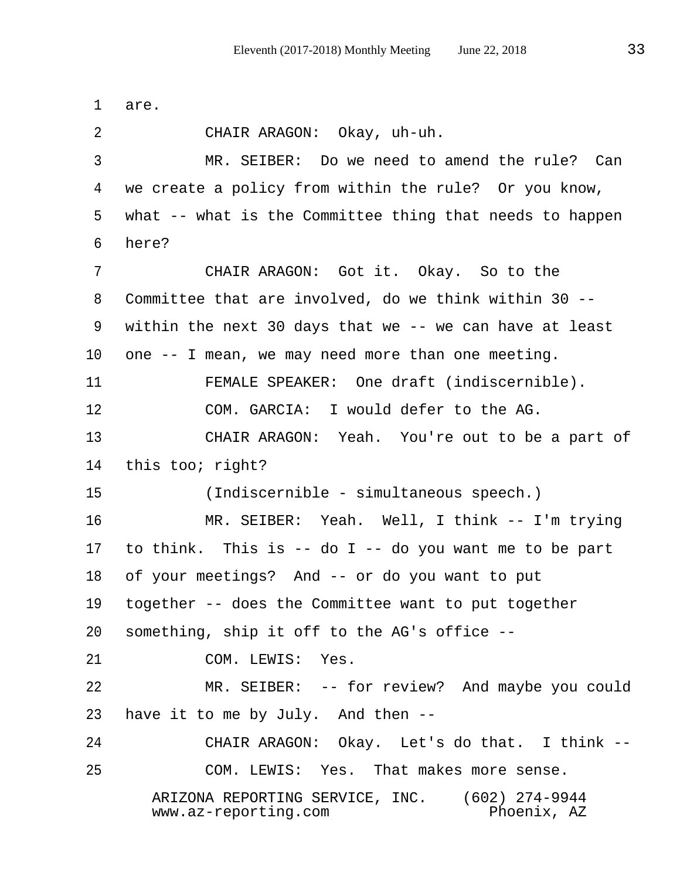1 are. 2 CHAIR ARAGON: Okay, uh-uh. 3 MR. SEIBER: Do we need to amend the rule? Can 4 we create a policy from within the rule? Or you know, 5 what -- what is the Committee thing that needs to happen 6 here? 7 CHAIR ARAGON: Got it. Okay. So to the 8 Committee that are involved, do we think within 30 -- 9 within the next 30 days that we -- we can have at least 10 one -- I mean, we may need more than one meeting. 11 FEMALE SPEAKER: One draft (indiscernible). 12 COM. GARCIA: I would defer to the AG. 13 CHAIR ARAGON: Yeah. You're out to be a part of 14 this too; right? 15 (Indiscernible - simultaneous speech.) 16 MR. SEIBER: Yeah. Well, I think -- I'm trying 17 to think. This is -- do I -- do you want me to be part 18 of your meetings? And -- or do you want to put 19 together -- does the Committee want to put together 20 something, ship it off to the AG's office -- 21 COM. LEWIS: Yes. 22 MR. SEIBER: -- for review? And maybe you could 23 have it to me by July. And then -- 24 CHAIR ARAGON: Okay. Let's do that. I think -- 25 COM. LEWIS: Yes. That makes more sense. ARIZONA REPORTING SERVICE, INC. (602) 274-9944  $www.az-reporting.com$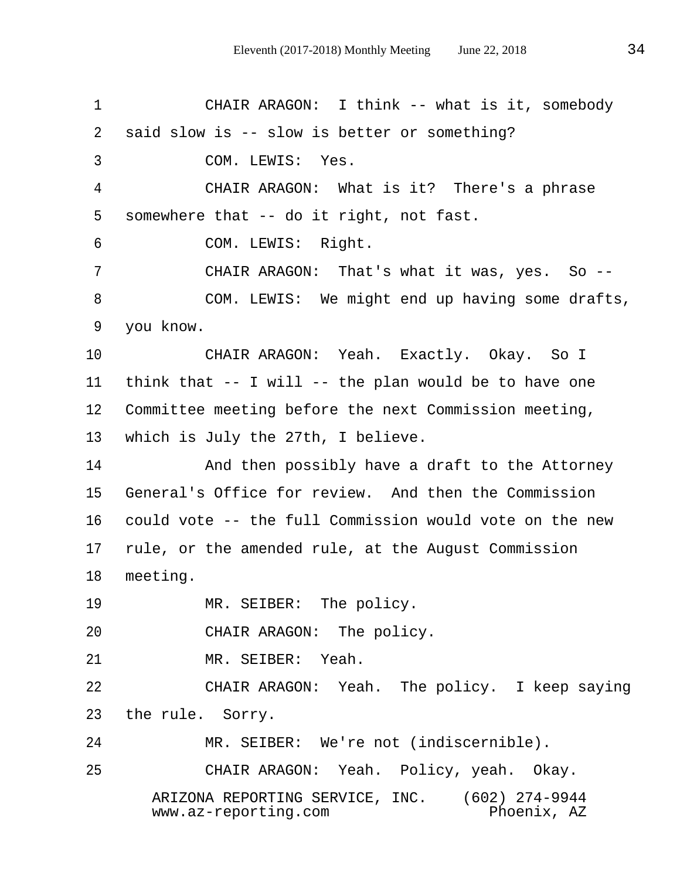1 CHAIR ARAGON: I think -- what is it, somebody 2 said slow is -- slow is better or something? 3 COM. LEWIS: Yes. 4 CHAIR ARAGON: What is it? There's a phrase 5 somewhere that -- do it right, not fast. 6 COM. LEWIS: Right. 7 CHAIR ARAGON: That's what it was, yes. So -- 8 COM. LEWIS: We might end up having some drafts, 9 you know. 10 CHAIR ARAGON: Yeah. Exactly. Okay. So I 11 think that -- I will -- the plan would be to have one 12 Committee meeting before the next Commission meeting, 13 which is July the 27th, I believe. 14 And then possibly have a draft to the Attorney 15 General's Office for review. And then the Commission 16 could vote -- the full Commission would vote on the new 17 rule, or the amended rule, at the August Commission 18 meeting. 19 MR. SEIBER: The policy. 20 CHAIR ARAGON: The policy. 21 MR. SEIBER: Yeah. 22 CHAIR ARAGON: Yeah. The policy. I keep saying 23 the rule. Sorry. 24 MR. SEIBER: We're not (indiscernible). 25 CHAIR ARAGON: Yeah. Policy, yeah. Okay. ARIZONA REPORTING SERVICE, INC. (602) 274-9944 www.az-reporting.com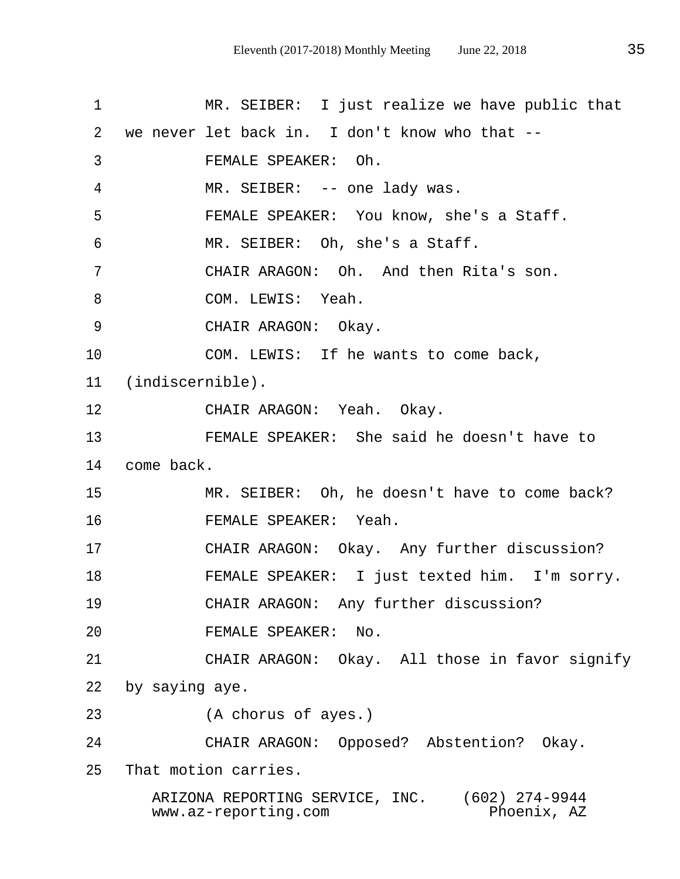1 MR. SEIBER: I just realize we have public that 2 we never let back in. I don't know who that -- 3 FEMALE SPEAKER: Oh. 4 MR. SEIBER: -- one lady was. 5 FEMALE SPEAKER: You know, she's a Staff. 6 MR. SEIBER: Oh, she's a Staff. 7 CHAIR ARAGON: Oh. And then Rita's son. 8 COM. LEWIS: Yeah. 9 CHAIR ARAGON: Okay. 10 COM. LEWIS: If he wants to come back, 11 (indiscernible). 12 CHAIR ARAGON: Yeah. Okay. 13 FEMALE SPEAKER: She said he doesn't have to 14 come back. 15 MR. SEIBER: Oh, he doesn't have to come back? 16 FEMALE SPEAKER: Yeah. 17 CHAIR ARAGON: Okay. Any further discussion? 18 FEMALE SPEAKER: I just texted him. I'm sorry. 19 CHAIR ARAGON: Any further discussion? 20 FEMALE SPEAKER: No. 21 CHAIR ARAGON: Okay. All those in favor signify 22 by saying aye. 23 (A chorus of ayes.) 24 CHAIR ARAGON: Opposed? Abstention? Okay. 25 That motion carries.

ARIZONA REPORTING SERVICE, INC. (602) 274-9944<br>www.az-reporting.com Phoenix, AZ www.az-reporting.com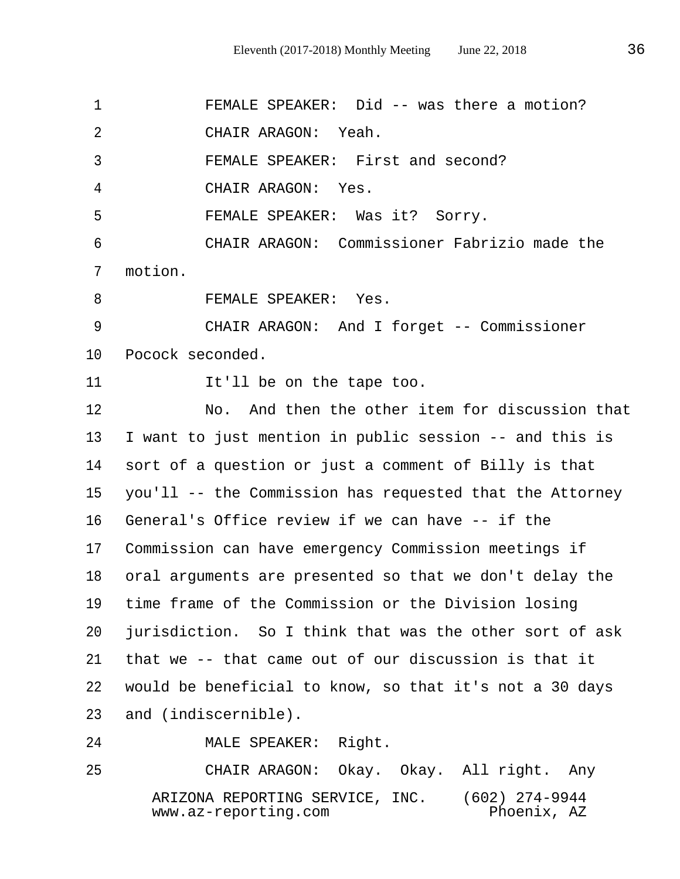1 FEMALE SPEAKER: Did -- was there a motion? 2 CHAIR ARAGON: Yeah. 3 FEMALE SPEAKER: First and second? 4 CHAIR ARAGON: Yes. 5 FEMALE SPEAKER: Was it? Sorry. 6 CHAIR ARAGON: Commissioner Fabrizio made the 7 motion. 8 FEMALE SPEAKER: Yes. 9 CHAIR ARAGON: And I forget -- Commissioner 10 Pocock seconded. 11 It'll be on the tape too. 12 No. And then the other item for discussion that 13 I want to just mention in public session -- and this is 14 sort of a question or just a comment of Billy is that 15 you'll -- the Commission has requested that the Attorney 16 General's Office review if we can have -- if the 17 Commission can have emergency Commission meetings if 18 oral arguments are presented so that we don't delay the 19 time frame of the Commission or the Division losing 20 jurisdiction. So I think that was the other sort of ask 21 that we -- that came out of our discussion is that it 22 would be beneficial to know, so that it's not a 30 days 23 and (indiscernible). 24 MALE SPEAKER: Right.

25 CHAIR ARAGON: Okay. Okay. All right. Any ARIZONA REPORTING SERVICE, INC. (602) 274-9944  $www.az-reporting.com$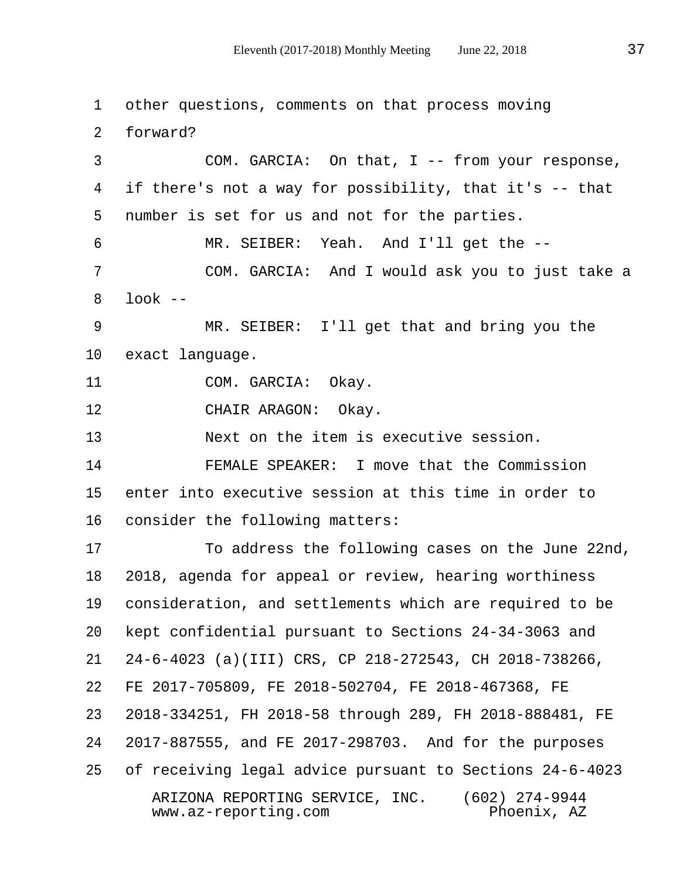1 other questions, comments on that process moving 2 forward? 3 COM. GARCIA: On that, I -- from your response, 4 if there's not a way for possibility, that it's -- that 5 number is set for us and not for the parties. 6 MR. SEIBER: Yeah. And I'll get the -- 7 COM. GARCIA: And I would ask you to just take a  $8$  look  $-$  9 MR. SEIBER: I'll get that and bring you the 10 exact language. 11 COM. GARCIA: Okay. 12 CHAIR ARAGON: Okay. 13 Next on the item is executive session. 14 FEMALE SPEAKER: I move that the Commission 15 enter into executive session at this time in order to 16 consider the following matters: 17 To address the following cases on the June 22nd, 18 2018, agenda for appeal or review, hearing worthiness 19 consideration, and settlements which are required to be 20 kept confidential pursuant to Sections 24-34-3063 and 21 24-6-4023 (a)(III) CRS, CP 218-272543, CH 2018-738266, 22 FE 2017-705809, FE 2018-502704, FE 2018-467368, FE 23 2018-334251, FH 2018-58 through 289, FH 2018-888481, FE 24 2017-887555, and FE 2017-298703. And for the purposes 25 of receiving legal advice pursuant to Sections 24-6-4023 ARIZONA REPORTING SERVICE, INC. (602) 274-9944  $www.az-reporting.com$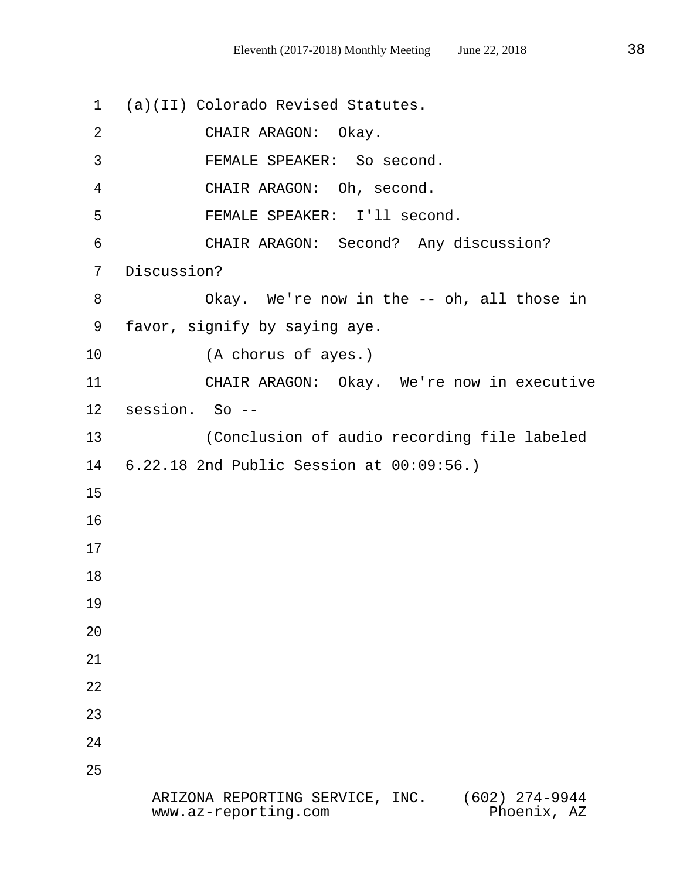1 (a)(II) Colorado Revised Statutes. 2 CHAIR ARAGON: Okay. 3 FEMALE SPEAKER: So second. 4 CHAIR ARAGON: Oh, second. 5 FEMALE SPEAKER: I'll second. 6 CHAIR ARAGON: Second? Any discussion? 7 Discussion? 8 Okay. We're now in the -- oh, all those in 9 favor, signify by saying aye. 10 (A chorus of ayes.) 11 CHAIR ARAGON: Okay. We're now in executive 12 session. So -- 13 (Conclusion of audio recording file labeled 14 6.22.18 2nd Public Session at 00:09:56.) 15 16 17 18 19 20 21 22 23 24 25 ARIZONA REPORTING SERVICE, INC. (602) 274-9944 www.az-reporting.com